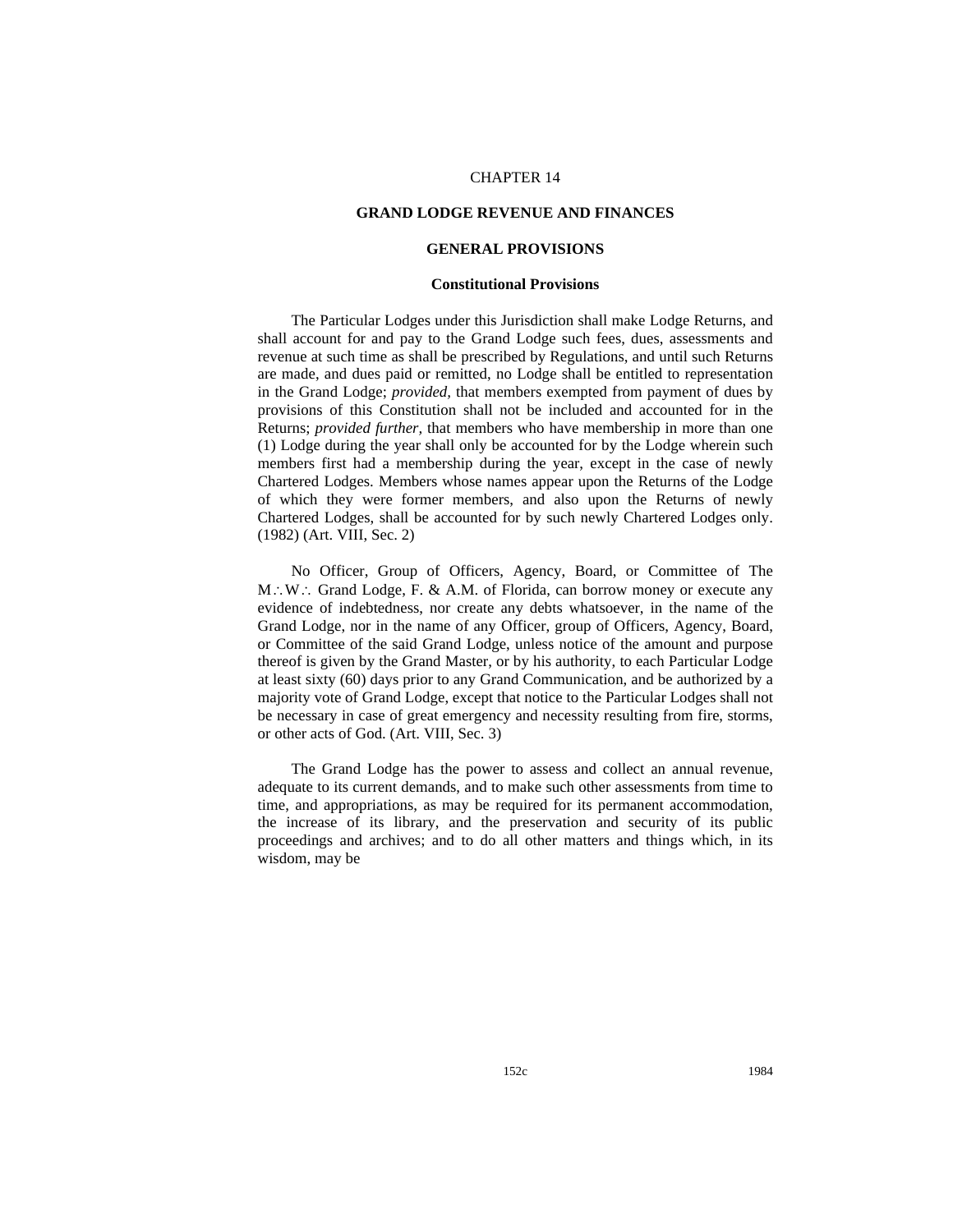# CHAPTER 14

# **GRAND LODGE REVENUE AND FINANCES**

# **GENERAL PROVISIONS**

## **Constitutional Provisions**

The Particular Lodges under this Jurisdiction shall make Lodge Returns, and shall account for and pay to the Grand Lodge such fees, dues, assessments and revenue at such time as shall be prescribed by Regulations, and until such Returns are made, and dues paid or remitted, no Lodge shall be entitled to representation in the Grand Lodge; *provided,* that members exempted from payment of dues by provisions of this Constitution shall not be included and accounted for in the Returns; *provided further,* that members who have membership in more than one (1) Lodge during the year shall only be accounted for by the Lodge wherein such members first had a membership during the year, except in the case of newly Chartered Lodges. Members whose names appear upon the Returns of the Lodge of which they were former members, and also upon the Returns of newly Chartered Lodges, shall be accounted for by such newly Chartered Lodges only. (1982) (Art. VIII, Sec. 2)

No Officer, Group of Officers, Agency, Board, or Committee of The M∴W∴ Grand Lodge, F. & A.M. of Florida, can borrow money or execute any evidence of indebtedness, nor create any debts whatsoever, in the name of the Grand Lodge, nor in the name of any Officer, group of Officers, Agency, Board, or Committee of the said Grand Lodge, unless notice of the amount and purpose thereof is given by the Grand Master, or by his authority, to each Particular Lodge at least sixty (60) days prior to any Grand Communication, and be authorized by a majority vote of Grand Lodge, except that notice to the Particular Lodges shall not be necessary in case of great emergency and necessity resulting from fire, storms, or other acts of God. (Art. VIII, Sec. 3)

The Grand Lodge has the power to assess and collect an annual revenue, adequate to its current demands, and to make such other assessments from time to time, and appropriations, as may be required for its permanent accommodation, the increase of its library, and the preservation and security of its public proceedings and archives; and to do all other matters and things which, in its wisdom, may be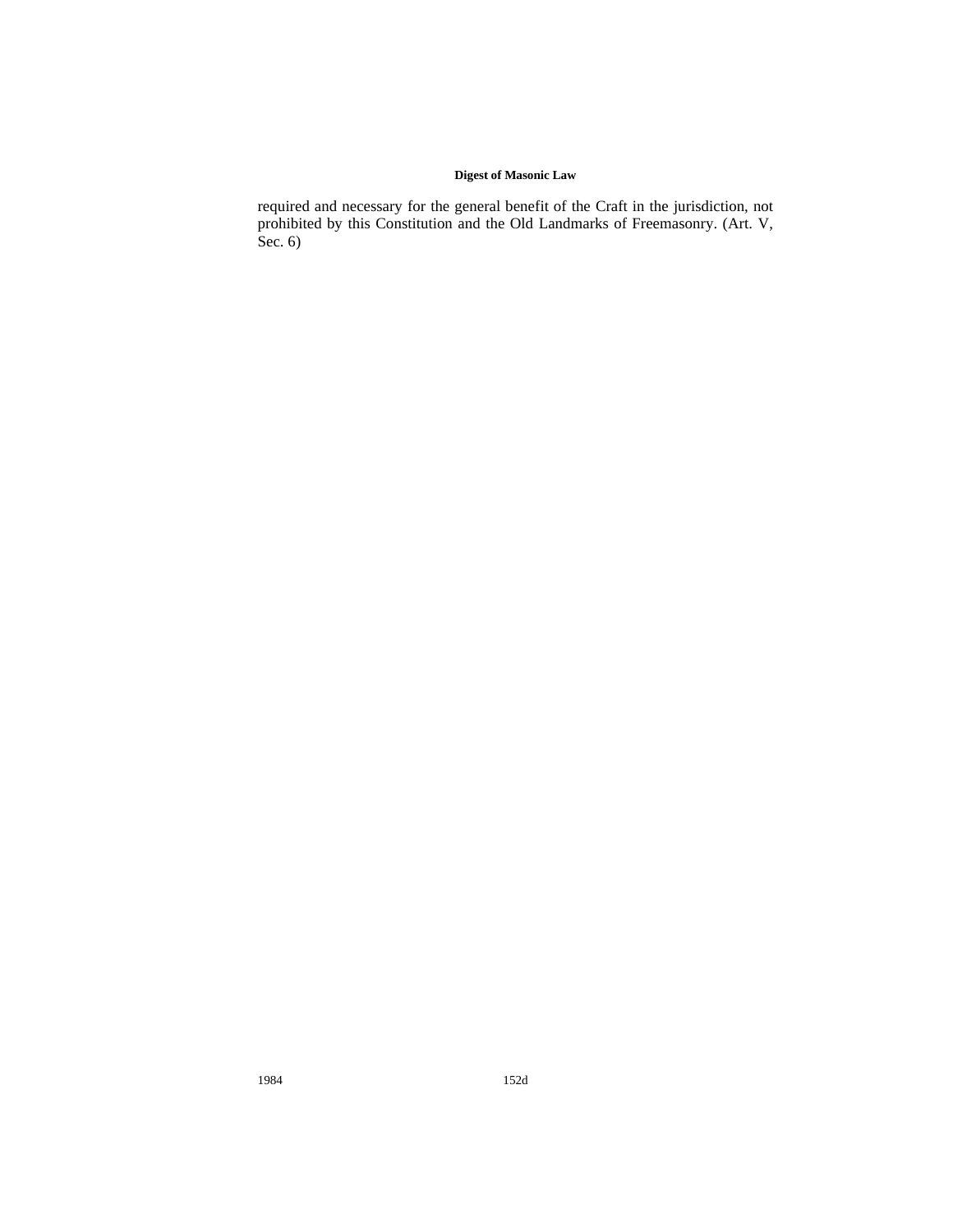# **Digest of Masonic Law**

required and necessary for the general benefit of the Craft in the jurisdiction, not prohibited by this Constitution and the Old Landmarks of Freemasonry. (Art. V, Sec. 6)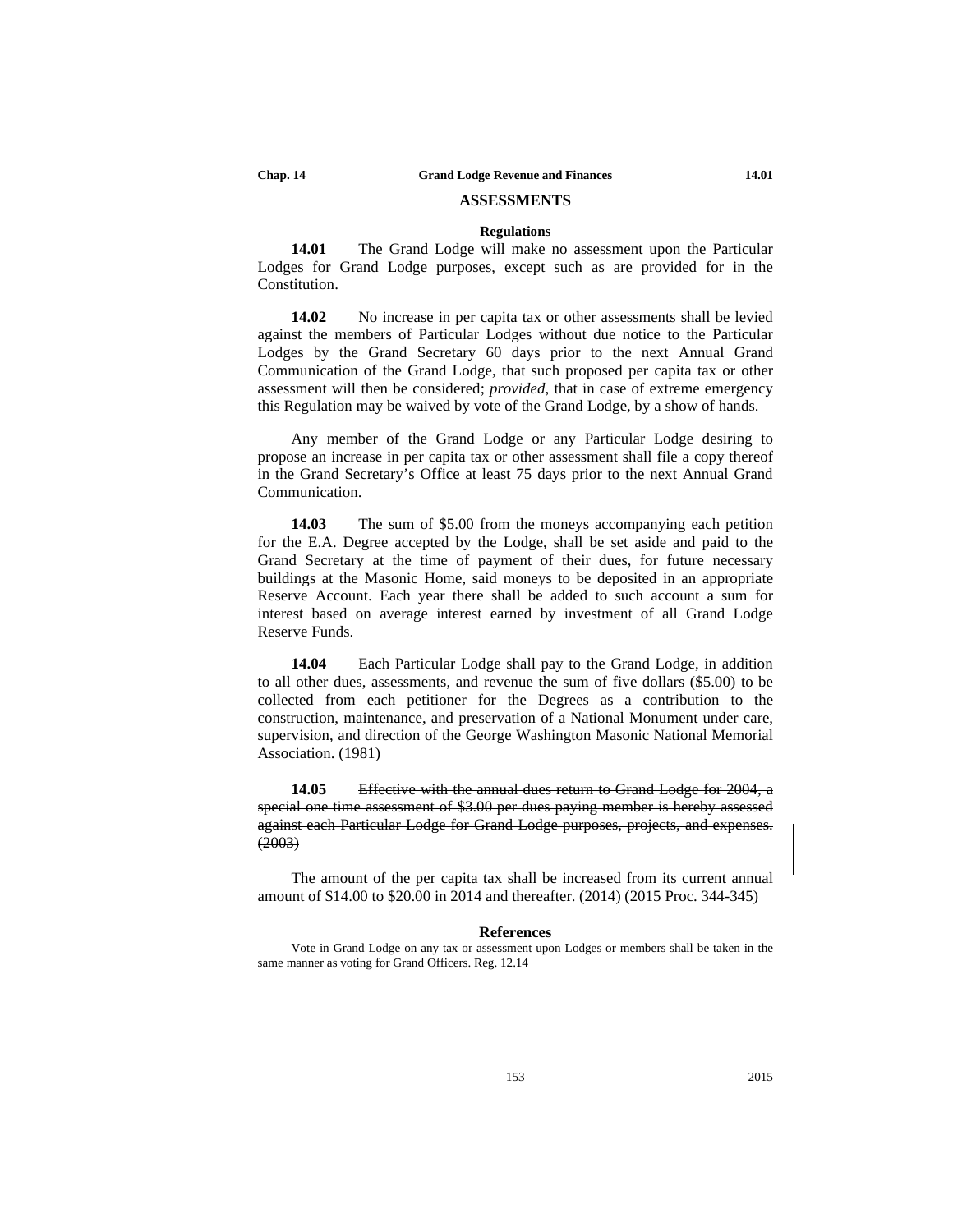### **ASSESSMENTS**

## **Regulations**

**14.01** The Grand Lodge will make no assessment upon the Particular Lodges for Grand Lodge purposes, except such as are provided for in the Constitution.

**14.02** No increase in per capita tax or other assessments shall be levied against the members of Particular Lodges without due notice to the Particular Lodges by the Grand Secretary 60 days prior to the next Annual Grand Communication of the Grand Lodge, that such proposed per capita tax or other assessment will then be considered; *provided*, that in case of extreme emergency this Regulation may be waived by vote of the Grand Lodge, by a show of hands.

Any member of the Grand Lodge or any Particular Lodge desiring to propose an increase in per capita tax or other assessment shall file a copy thereof in the Grand Secretary's Office at least 75 days prior to the next Annual Grand Communication.

**14.03** The sum of \$5.00 from the moneys accompanying each petition for the E.A. Degree accepted by the Lodge, shall be set aside and paid to the Grand Secretary at the time of payment of their dues, for future necessary buildings at the Masonic Home, said moneys to be deposited in an appropriate Reserve Account. Each year there shall be added to such account a sum for interest based on average interest earned by investment of all Grand Lodge Reserve Funds.

**14.04** Each Particular Lodge shall pay to the Grand Lodge, in addition to all other dues, assessments, and revenue the sum of five dollars (\$5.00) to be collected from each petitioner for the Degrees as a contribution to the construction, maintenance, and preservation of a National Monument under care, supervision, and direction of the George Washington Masonic National Memorial Association. (1981)

**14.05** Effective with the annual dues return to Grand Lodge for 2004, a special one time assessment of \$3.00 per dues paying member is hereby assessed against each Particular Lodge for Grand Lodge purposes, projects, and expenses.  $(2003)$ 

The amount of the per capita tax shall be increased from its current annual amount of \$14.00 to \$20.00 in 2014 and thereafter. (2014) (2015 Proc. 344-345)

## **References**

Vote in Grand Lodge on any tax or assessment upon Lodges or members shall be taken in the same manner as voting for Grand Officers. Reg. 12.14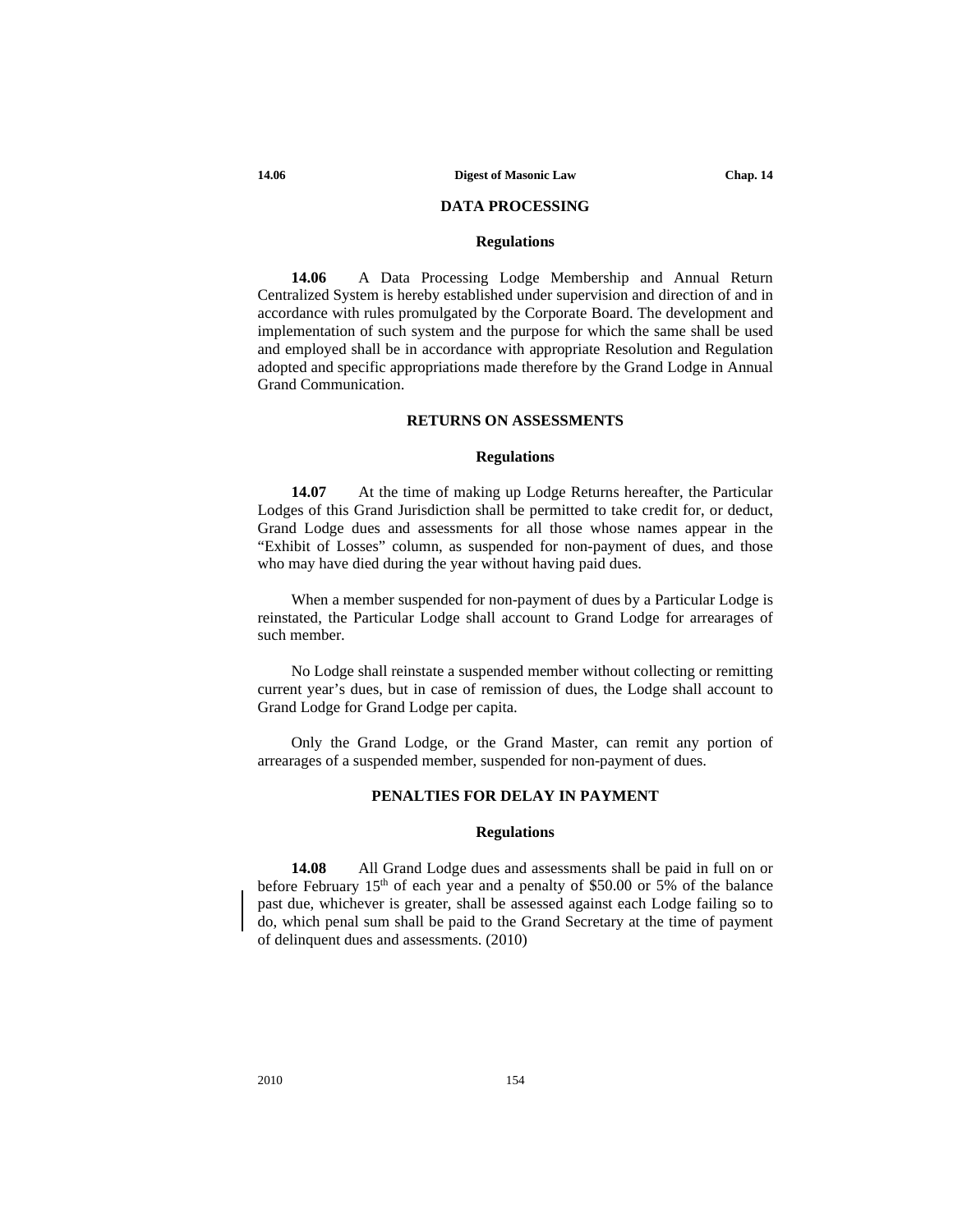# **DATA PROCESSING**

## **Regulations**

**14.06** A Data Processing Lodge Membership and Annual Return Centralized System is hereby established under supervision and direction of and in accordance with rules promulgated by the Corporate Board. The development and implementation of such system and the purpose for which the same shall be used and employed shall be in accordance with appropriate Resolution and Regulation adopted and specific appropriations made therefore by the Grand Lodge in Annual Grand Communication.

# **RETURNS ON ASSESSMENTS**

## **Regulations**

**14.07** At the time of making up Lodge Returns hereafter, the Particular Lodges of this Grand Jurisdiction shall be permitted to take credit for, or deduct, Grand Lodge dues and assessments for all those whose names appear in the "Exhibit of Losses" column, as suspended for non-payment of dues, and those who may have died during the year without having paid dues.

When a member suspended for non-payment of dues by a Particular Lodge is reinstated, the Particular Lodge shall account to Grand Lodge for arrearages of such member.

No Lodge shall reinstate a suspended member without collecting or remitting current year's dues, but in case of remission of dues, the Lodge shall account to Grand Lodge for Grand Lodge per capita.

Only the Grand Lodge, or the Grand Master, can remit any portion of arrearages of a suspended member, suspended for non-payment of dues.

# **PENALTIES FOR DELAY IN PAYMENT**

## **Regulations**

**14.08** All Grand Lodge dues and assessments shall be paid in full on or before February  $15<sup>th</sup>$  of each year and a penalty of \$50.00 or 5% of the balance past due, whichever is greater, shall be assessed against each Lodge failing so to do, which penal sum shall be paid to the Grand Secretary at the time of payment of delinquent dues and assessments. (2010)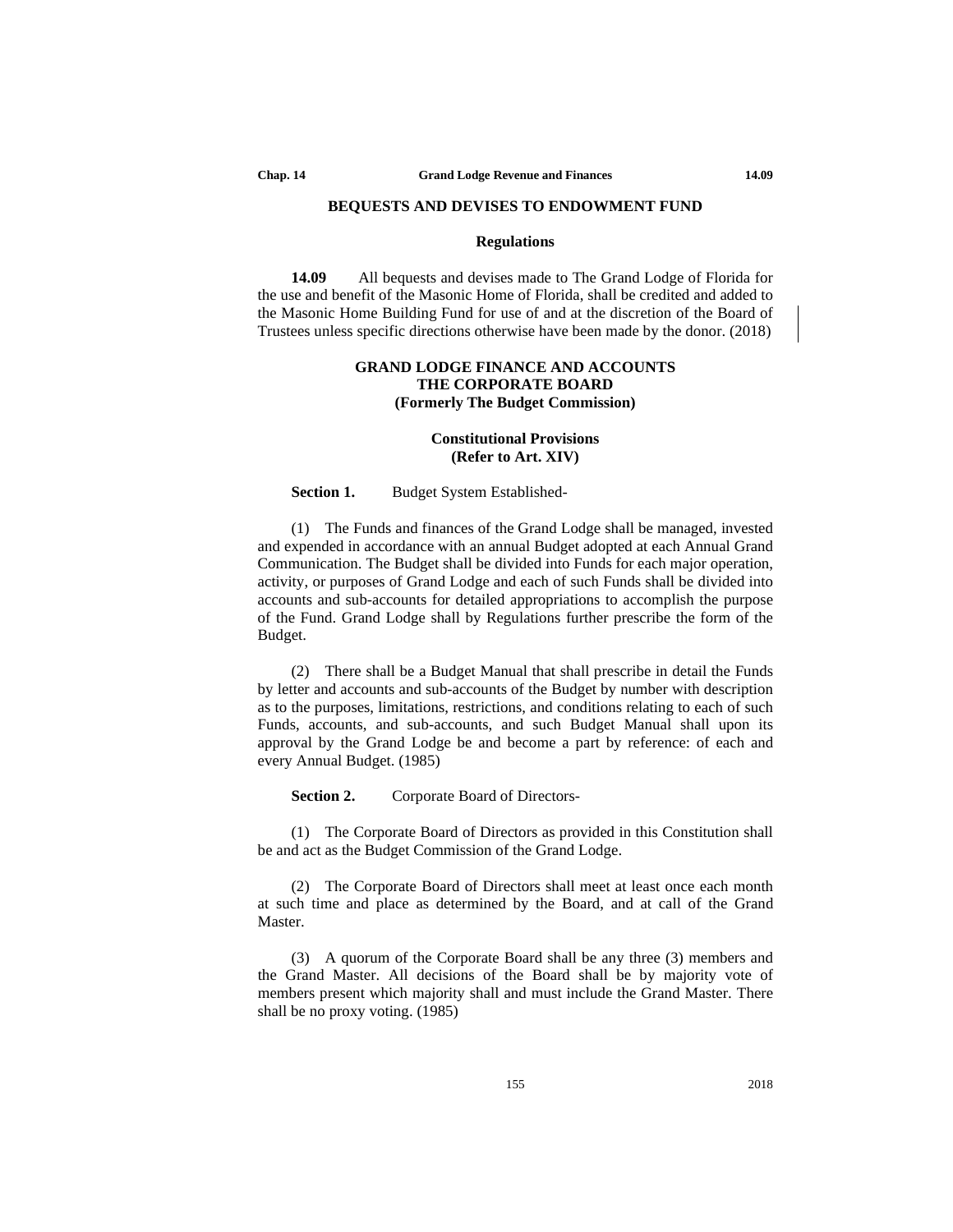# **BEQUESTS AND DEVISES TO ENDOWMENT FUND**

## **Regulations**

**14.09** All bequests and devises made to The Grand Lodge of Florida for the use and benefit of the Masonic Home of Florida, shall be credited and added to the Masonic Home Building Fund for use of and at the discretion of the Board of Trustees unless specific directions otherwise have been made by the donor. (2018)

# **GRAND LODGE FINANCE AND ACCOUNTS THE CORPORATE BOARD (Formerly The Budget Commission)**

# **Constitutional Provisions (Refer to Art. XIV)**

**Section 1.** Budget System Established-

(1) The Funds and finances of the Grand Lodge shall be managed, invested and expended in accordance with an annual Budget adopted at each Annual Grand Communication. The Budget shall be divided into Funds for each major operation, activity, or purposes of Grand Lodge and each of such Funds shall be divided into accounts and sub-accounts for detailed appropriations to accomplish the purpose of the Fund. Grand Lodge shall by Regulations further prescribe the form of the Budget.

(2) There shall be a Budget Manual that shall prescribe in detail the Funds by letter and accounts and sub-accounts of the Budget by number with description as to the purposes, limitations, restrictions, and conditions relating to each of such Funds, accounts, and sub-accounts, and such Budget Manual shall upon its approval by the Grand Lodge be and become a part by reference: of each and every Annual Budget. (1985)

Section 2. Corporate Board of Directors-

(1) The Corporate Board of Directors as provided in this Constitution shall be and act as the Budget Commission of the Grand Lodge.

(2) The Corporate Board of Directors shall meet at least once each month at such time and place as determined by the Board, and at call of the Grand Master.

(3) A quorum of the Corporate Board shall be any three (3) members and the Grand Master. All decisions of the Board shall be by majority vote of members present which majority shall and must include the Grand Master. There shall be no proxy voting. (1985)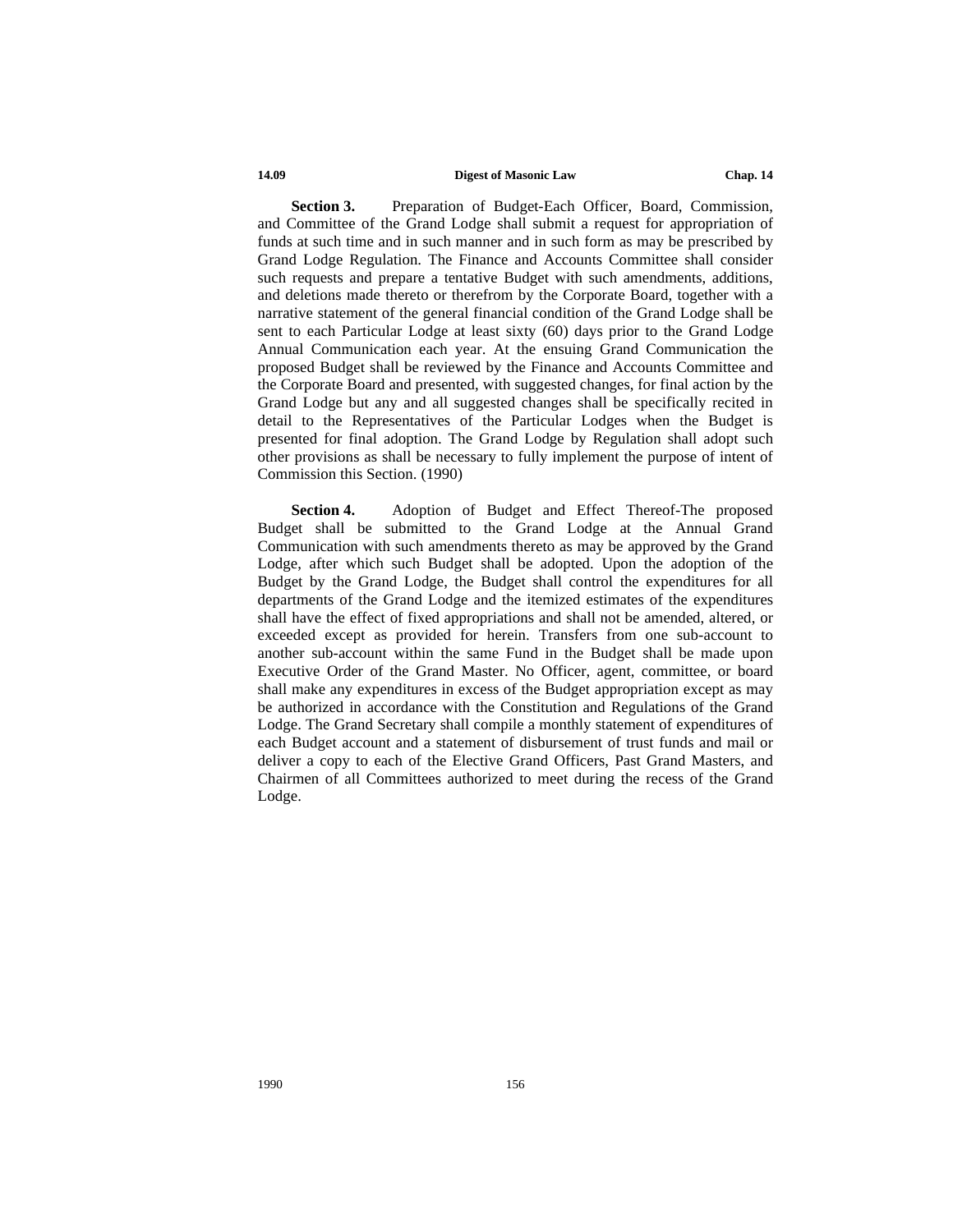## **14.09 Digest of Masonic Law Chap. 14**

**Section 3.** Preparation of Budget-Each Officer, Board, Commission, and Committee of the Grand Lodge shall submit a request for appropriation of funds at such time and in such manner and in such form as may be prescribed by Grand Lodge Regulation. The Finance and Accounts Committee shall consider such requests and prepare a tentative Budget with such amendments, additions, and deletions made thereto or therefrom by the Corporate Board, together with a narrative statement of the general financial condition of the Grand Lodge shall be sent to each Particular Lodge at least sixty (60) days prior to the Grand Lodge Annual Communication each year. At the ensuing Grand Communication the proposed Budget shall be reviewed by the Finance and Accounts Committee and the Corporate Board and presented, with suggested changes, for final action by the Grand Lodge but any and all suggested changes shall be specifically recited in detail to the Representatives of the Particular Lodges when the Budget is presented for final adoption. The Grand Lodge by Regulation shall adopt such other provisions as shall be necessary to fully implement the purpose of intent of Commission this Section. (1990)

Section 4. Adoption of Budget and Effect Thereof-The proposed Budget shall be submitted to the Grand Lodge at the Annual Grand Communication with such amendments thereto as may be approved by the Grand Lodge, after which such Budget shall be adopted. Upon the adoption of the Budget by the Grand Lodge, the Budget shall control the expenditures for all departments of the Grand Lodge and the itemized estimates of the expenditures shall have the effect of fixed appropriations and shall not be amended, altered, or exceeded except as provided for herein. Transfers from one sub-account to another sub-account within the same Fund in the Budget shall be made upon Executive Order of the Grand Master. No Officer, agent, committee, or board shall make any expenditures in excess of the Budget appropriation except as may be authorized in accordance with the Constitution and Regulations of the Grand Lodge. The Grand Secretary shall compile a monthly statement of expenditures of each Budget account and a statement of disbursement of trust funds and mail or deliver a copy to each of the Elective Grand Officers, Past Grand Masters, and Chairmen of all Committees authorized to meet during the recess of the Grand Lodge.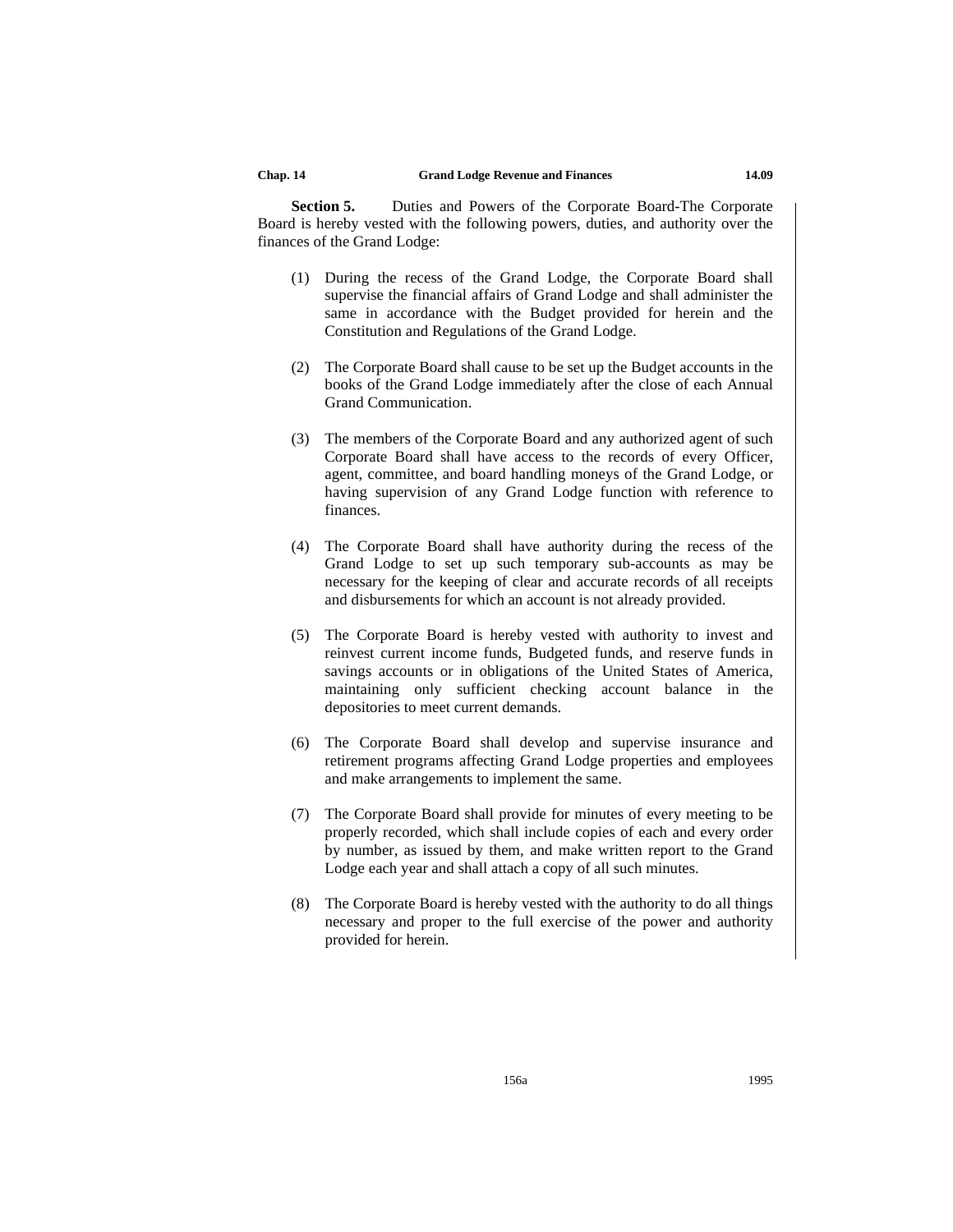**Section 5.** Duties and Powers of the Corporate Board-The Corporate Board is hereby vested with the following powers, duties, and authority over the finances of the Grand Lodge:

- (1) During the recess of the Grand Lodge, the Corporate Board shall supervise the financial affairs of Grand Lodge and shall administer the same in accordance with the Budget provided for herein and the Constitution and Regulations of the Grand Lodge.
- (2) The Corporate Board shall cause to be set up the Budget accounts in the books of the Grand Lodge immediately after the close of each Annual Grand Communication.
- (3) The members of the Corporate Board and any authorized agent of such Corporate Board shall have access to the records of every Officer, agent, committee, and board handling moneys of the Grand Lodge, or having supervision of any Grand Lodge function with reference to finances.
- (4) The Corporate Board shall have authority during the recess of the Grand Lodge to set up such temporary sub-accounts as may be necessary for the keeping of clear and accurate records of all receipts and disbursements for which an account is not already provided.
- (5) The Corporate Board is hereby vested with authority to invest and reinvest current income funds, Budgeted funds, and reserve funds in savings accounts or in obligations of the United States of America, maintaining only sufficient checking account balance in the depositories to meet current demands.
- (6) The Corporate Board shall develop and supervise insurance and retirement programs affecting Grand Lodge properties and employees and make arrangements to implement the same.
- (7) The Corporate Board shall provide for minutes of every meeting to be properly recorded, which shall include copies of each and every order by number, as issued by them, and make written report to the Grand Lodge each year and shall attach a copy of all such minutes.
- (8) The Corporate Board is hereby vested with the authority to do all things necessary and proper to the full exercise of the power and authority provided for herein.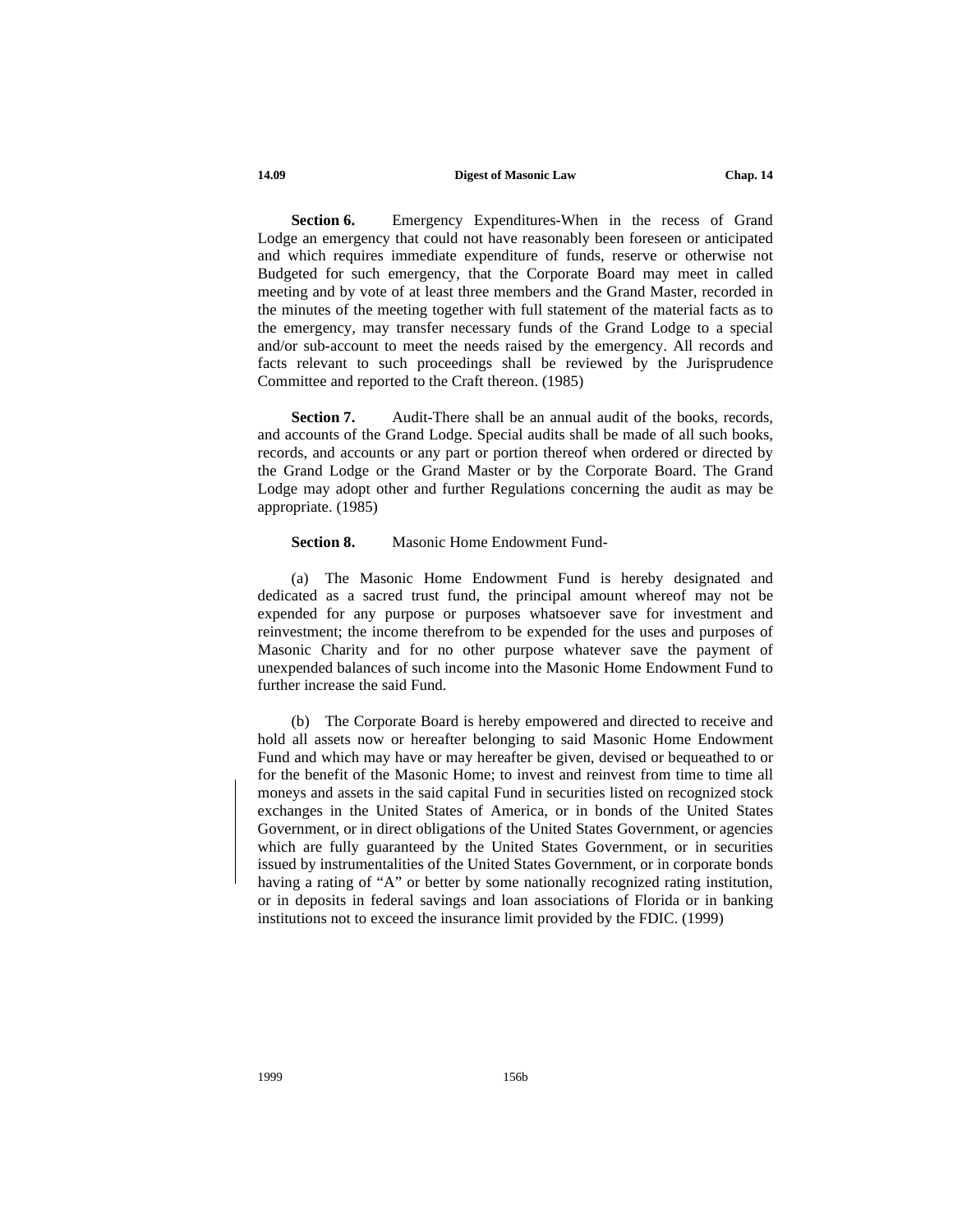## **14.09 Digest of Masonic Law Chap. 14**

**Section 6.** Emergency Expenditures-When in the recess of Grand Lodge an emergency that could not have reasonably been foreseen or anticipated and which requires immediate expenditure of funds, reserve or otherwise not Budgeted for such emergency, that the Corporate Board may meet in called meeting and by vote of at least three members and the Grand Master, recorded in the minutes of the meeting together with full statement of the material facts as to the emergency, may transfer necessary funds of the Grand Lodge to a special and/or sub-account to meet the needs raised by the emergency. All records and facts relevant to such proceedings shall be reviewed by the Jurisprudence Committee and reported to the Craft thereon. (1985)

**Section 7.** Audit-There shall be an annual audit of the books, records, and accounts of the Grand Lodge. Special audits shall be made of all such books, records, and accounts or any part or portion thereof when ordered or directed by the Grand Lodge or the Grand Master or by the Corporate Board. The Grand Lodge may adopt other and further Regulations concerning the audit as may be appropriate. (1985)

# **Section 8.** Masonic Home Endowment Fund-

(a) The Masonic Home Endowment Fund is hereby designated and dedicated as a sacred trust fund, the principal amount whereof may not be expended for any purpose or purposes whatsoever save for investment and reinvestment; the income therefrom to be expended for the uses and purposes of Masonic Charity and for no other purpose whatever save the payment of unexpended balances of such income into the Masonic Home Endowment Fund to further increase the said Fund.

(b) The Corporate Board is hereby empowered and directed to receive and hold all assets now or hereafter belonging to said Masonic Home Endowment Fund and which may have or may hereafter be given, devised or bequeathed to or for the benefit of the Masonic Home; to invest and reinvest from time to time all moneys and assets in the said capital Fund in securities listed on recognized stock exchanges in the United States of America, or in bonds of the United States Government, or in direct obligations of the United States Government, or agencies which are fully guaranteed by the United States Government, or in securities issued by instrumentalities of the United States Government, or in corporate bonds having a rating of "A" or better by some nationally recognized rating institution, or in deposits in federal savings and loan associations of Florida or in banking institutions not to exceed the insurance limit provided by the FDIC. (1999)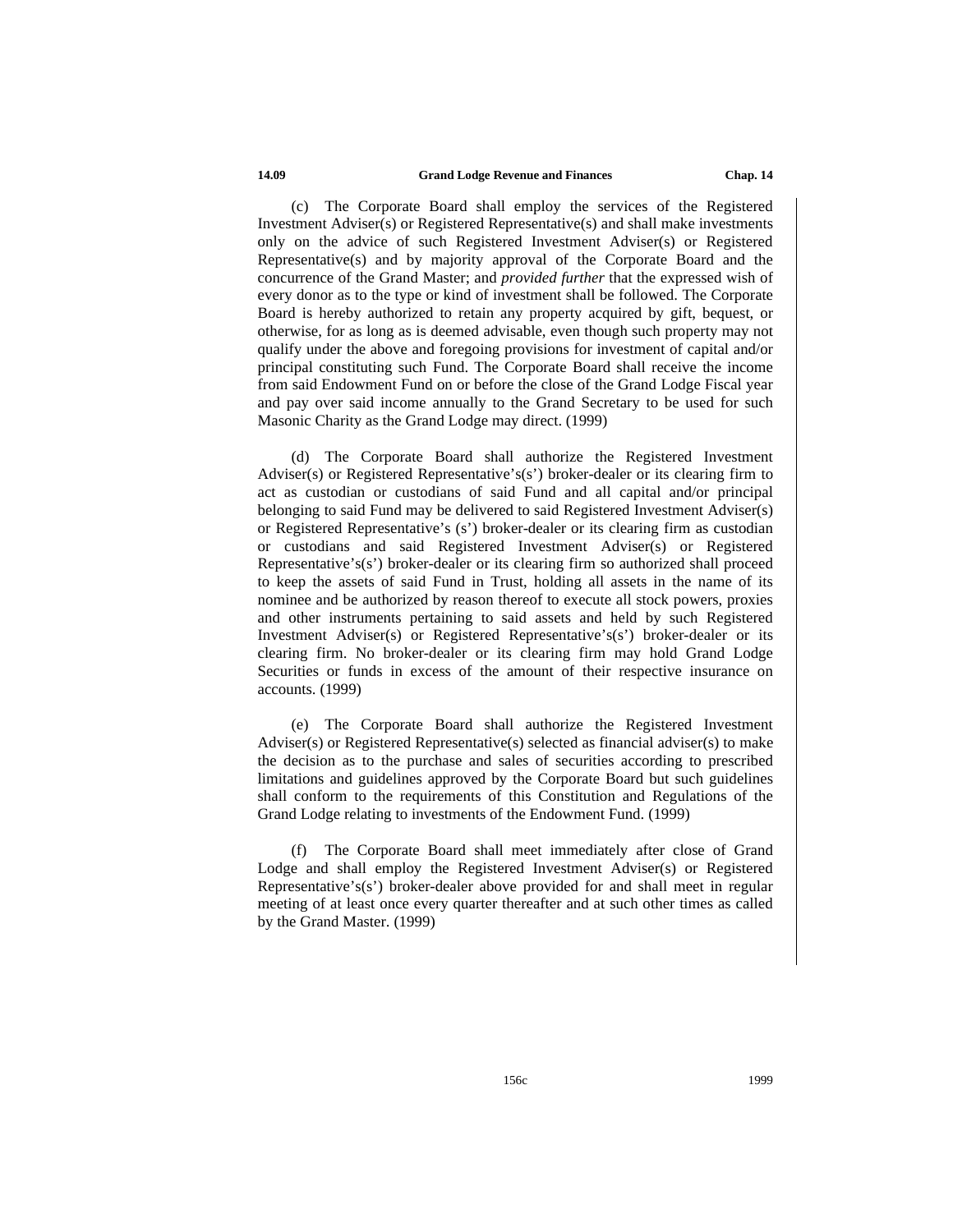## **14.09 Grand Lodge Revenue and Finances Chap. 14**

(c) The Corporate Board shall employ the services of the Registered Investment Adviser(s) or Registered Representative(s) and shall make investments only on the advice of such Registered Investment Adviser(s) or Registered Representative(s) and by majority approval of the Corporate Board and the concurrence of the Grand Master; and *provided further* that the expressed wish of every donor as to the type or kind of investment shall be followed. The Corporate Board is hereby authorized to retain any property acquired by gift, bequest, or otherwise, for as long as is deemed advisable, even though such property may not qualify under the above and foregoing provisions for investment of capital and/or principal constituting such Fund. The Corporate Board shall receive the income from said Endowment Fund on or before the close of the Grand Lodge Fiscal year and pay over said income annually to the Grand Secretary to be used for such Masonic Charity as the Grand Lodge may direct. (1999)

(d) The Corporate Board shall authorize the Registered Investment Adviser(s) or Registered Representative's(s') broker-dealer or its clearing firm to act as custodian or custodians of said Fund and all capital and/or principal belonging to said Fund may be delivered to said Registered Investment Adviser(s) or Registered Representative's (s') broker-dealer or its clearing firm as custodian or custodians and said Registered Investment Adviser(s) or Registered Representative's(s') broker-dealer or its clearing firm so authorized shall proceed to keep the assets of said Fund in Trust, holding all assets in the name of its nominee and be authorized by reason thereof to execute all stock powers, proxies and other instruments pertaining to said assets and held by such Registered Investment Adviser(s) or Registered Representative's(s') broker-dealer or its clearing firm. No broker-dealer or its clearing firm may hold Grand Lodge Securities or funds in excess of the amount of their respective insurance on accounts. (1999)

(e) The Corporate Board shall authorize the Registered Investment Adviser(s) or Registered Representative(s) selected as financial adviser(s) to make the decision as to the purchase and sales of securities according to prescribed limitations and guidelines approved by the Corporate Board but such guidelines shall conform to the requirements of this Constitution and Regulations of the Grand Lodge relating to investments of the Endowment Fund. (1999)

(f) The Corporate Board shall meet immediately after close of Grand Lodge and shall employ the Registered Investment Adviser(s) or Registered Representative's(s') broker-dealer above provided for and shall meet in regular meeting of at least once every quarter thereafter and at such other times as called by the Grand Master. (1999)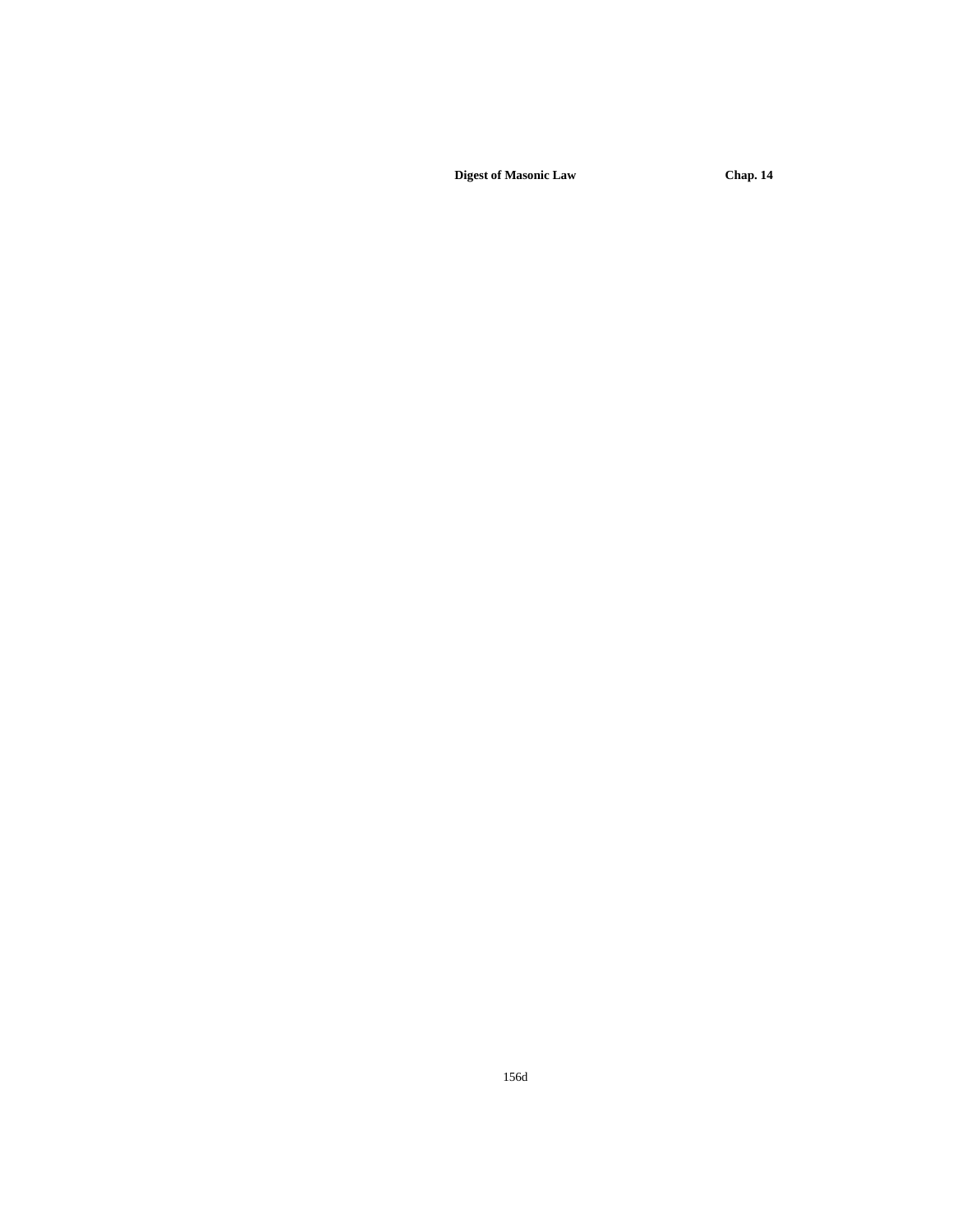**Digest of Masonic Law Chap. 14**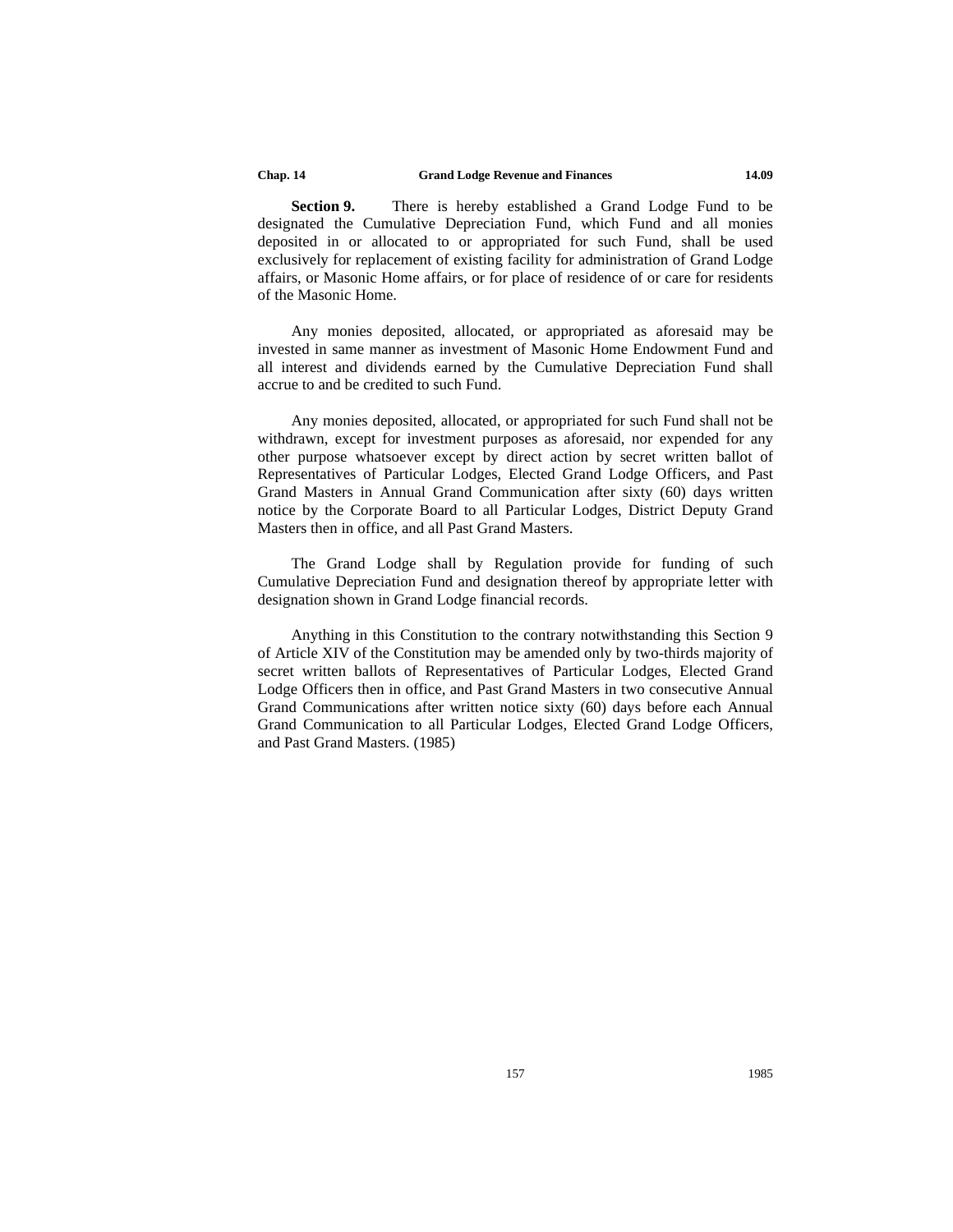**Section 9.** There is hereby established a Grand Lodge Fund to be designated the Cumulative Depreciation Fund, which Fund and all monies deposited in or allocated to or appropriated for such Fund, shall be used exclusively for replacement of existing facility for administration of Grand Lodge affairs, or Masonic Home affairs, or for place of residence of or care for residents of the Masonic Home.

Any monies deposited, allocated, or appropriated as aforesaid may be invested in same manner as investment of Masonic Home Endowment Fund and all interest and dividends earned by the Cumulative Depreciation Fund shall accrue to and be credited to such Fund.

Any monies deposited, allocated, or appropriated for such Fund shall not be withdrawn, except for investment purposes as aforesaid, nor expended for any other purpose whatsoever except by direct action by secret written ballot of Representatives of Particular Lodges, Elected Grand Lodge Officers, and Past Grand Masters in Annual Grand Communication after sixty (60) days written notice by the Corporate Board to all Particular Lodges, District Deputy Grand Masters then in office, and all Past Grand Masters.

The Grand Lodge shall by Regulation provide for funding of such Cumulative Depreciation Fund and designation thereof by appropriate letter with designation shown in Grand Lodge financial records.

Anything in this Constitution to the contrary notwithstanding this Section 9 of Article XIV of the Constitution may be amended only by two-thirds majority of secret written ballots of Representatives of Particular Lodges, Elected Grand Lodge Officers then in office, and Past Grand Masters in two consecutive Annual Grand Communications after written notice sixty (60) days before each Annual Grand Communication to all Particular Lodges, Elected Grand Lodge Officers, and Past Grand Masters. (1985)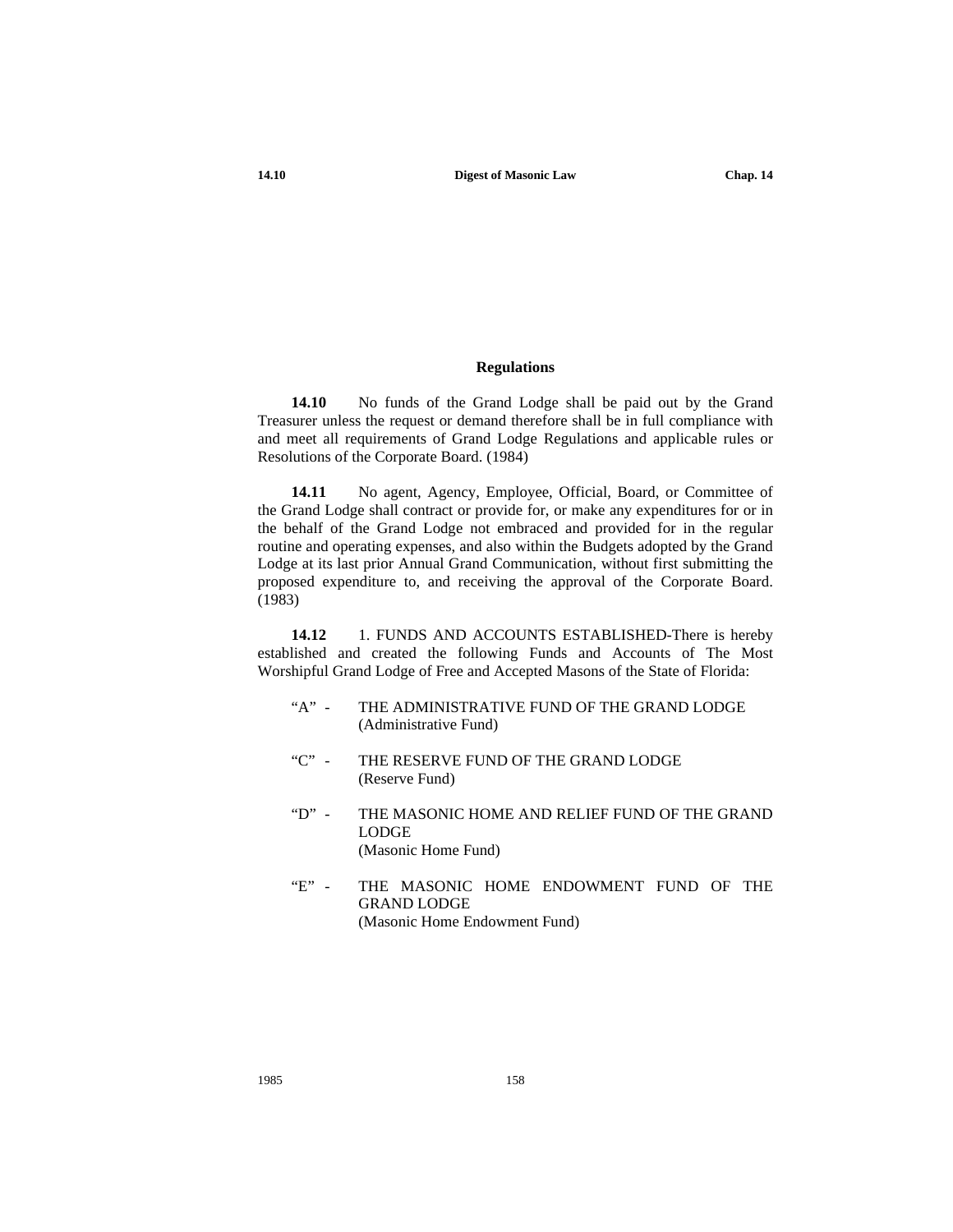# **Regulations**

**14.10** No funds of the Grand Lodge shall be paid out by the Grand Treasurer unless the request or demand therefore shall be in full compliance with and meet all requirements of Grand Lodge Regulations and applicable rules or Resolutions of the Corporate Board. (1984)

14.11 No agent, Agency, Employee, Official, Board, or Committee of the Grand Lodge shall contract or provide for, or make any expenditures for or in the behalf of the Grand Lodge not embraced and provided for in the regular routine and operating expenses, and also within the Budgets adopted by the Grand Lodge at its last prior Annual Grand Communication, without first submitting the proposed expenditure to, and receiving the approval of the Corporate Board. (1983)

14.12 1. FUNDS AND ACCOUNTS ESTABLISHED-There is hereby established and created the following Funds and Accounts of The Most Worshipful Grand Lodge of Free and Accepted Masons of the State of Florida:

- "A" THE ADMINISTRATIVE FUND OF THE GRAND LODGE (Administrative Fund)
- "C" THE RESERVE FUND OF THE GRAND LODGE (Reserve Fund)
- "D" THE MASONIC HOME AND RELIEF FUND OF THE GRAND LODGE (Masonic Home Fund)
- "E" THE MASONIC HOME ENDOWMENT FUND OF THE GRAND LODGE (Masonic Home Endowment Fund)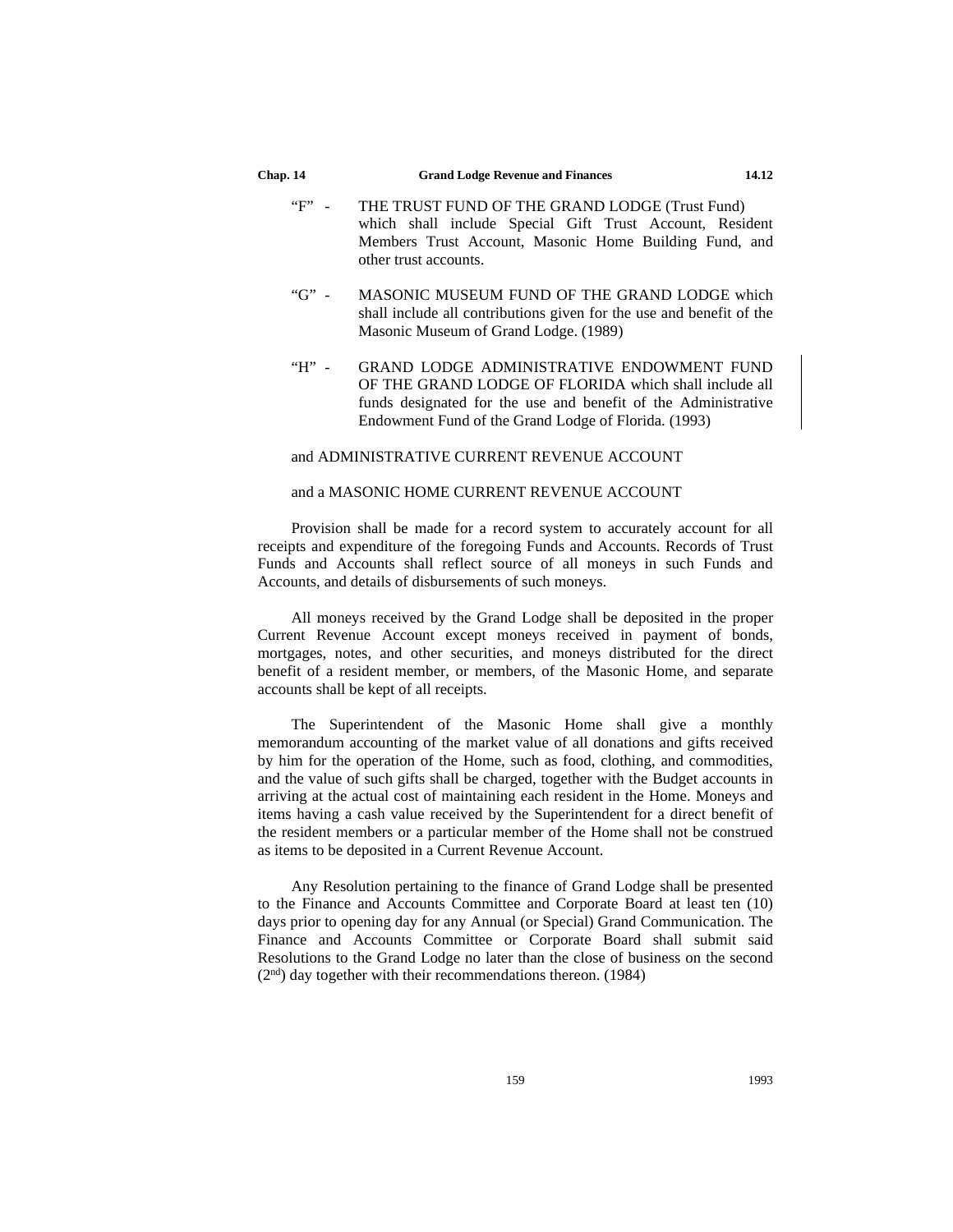# **Chap. 14 Grand Lodge Revenue and Finances 14.12** "F" - THE TRUST FUND OF THE GRAND LODGE (Trust Fund) which shall include Special Gift Trust Account, Resident Members Trust Account, Masonic Home Building Fund, and other trust accounts.

- "G" MASONIC MUSEUM FUND OF THE GRAND LODGE which shall include all contributions given for the use and benefit of the Masonic Museum of Grand Lodge. (1989)
- "H" GRAND LODGE ADMINISTRATIVE ENDOWMENT FUND OF THE GRAND LODGE OF FLORIDA which shall include all funds designated for the use and benefit of the Administrative Endowment Fund of the Grand Lodge of Florida. (1993)

# and ADMINISTRATIVE CURRENT REVENUE ACCOUNT

# and a MASONIC HOME CURRENT REVENUE ACCOUNT

Provision shall be made for a record system to accurately account for all receipts and expenditure of the foregoing Funds and Accounts. Records of Trust Funds and Accounts shall reflect source of all moneys in such Funds and Accounts, and details of disbursements of such moneys.

All moneys received by the Grand Lodge shall be deposited in the proper Current Revenue Account except moneys received in payment of bonds, mortgages, notes, and other securities, and moneys distributed for the direct benefit of a resident member, or members, of the Masonic Home, and separate accounts shall be kept of all receipts.

The Superintendent of the Masonic Home shall give a monthly memorandum accounting of the market value of all donations and gifts received by him for the operation of the Home, such as food, clothing, and commodities, and the value of such gifts shall be charged, together with the Budget accounts in arriving at the actual cost of maintaining each resident in the Home. Moneys and items having a cash value received by the Superintendent for a direct benefit of the resident members or a particular member of the Home shall not be construed as items to be deposited in a Current Revenue Account.

Any Resolution pertaining to the finance of Grand Lodge shall be presented to the Finance and Accounts Committee and Corporate Board at least ten (10) days prior to opening day for any Annual (or Special) Grand Communication. The Finance and Accounts Committee or Corporate Board shall submit said Resolutions to the Grand Lodge no later than the close of business on the second (2nd) day together with their recommendations thereon. (1984)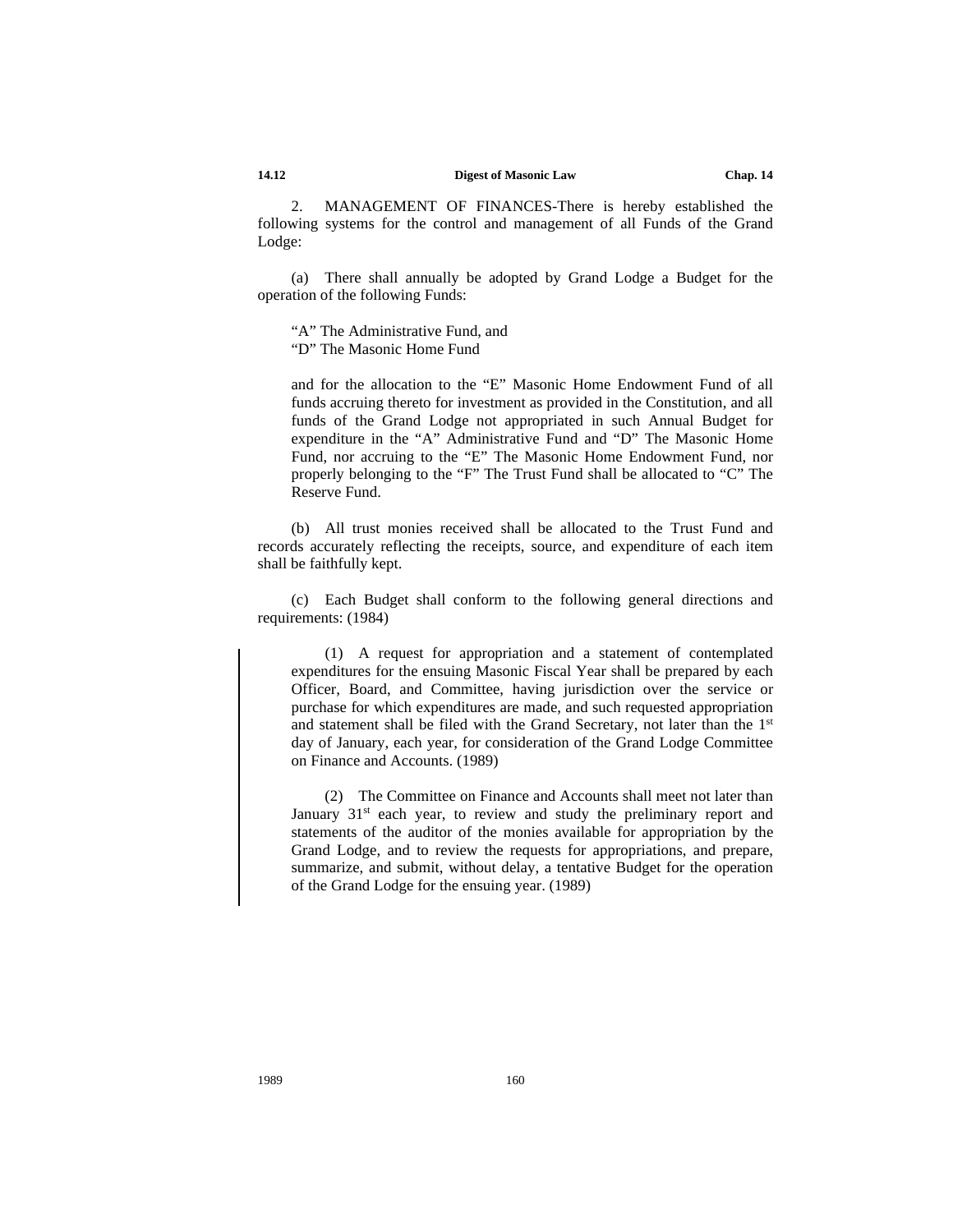# **14.12 Digest of Masonic Law Chap. 14**

2. MANAGEMENT OF FINANCES-There is hereby established the following systems for the control and management of all Funds of the Grand Lodge:

(a) There shall annually be adopted by Grand Lodge a Budget for the operation of the following Funds:

"A" The Administrative Fund, and

"D" The Masonic Home Fund

and for the allocation to the "E" Masonic Home Endowment Fund of all funds accruing thereto for investment as provided in the Constitution, and all funds of the Grand Lodge not appropriated in such Annual Budget for expenditure in the "A" Administrative Fund and "D" The Masonic Home Fund, nor accruing to the "E" The Masonic Home Endowment Fund, nor properly belonging to the "F" The Trust Fund shall be allocated to "C" The Reserve Fund.

(b) All trust monies received shall be allocated to the Trust Fund and records accurately reflecting the receipts, source, and expenditure of each item shall be faithfully kept.

(c) Each Budget shall conform to the following general directions and requirements: (1984)

(1) A request for appropriation and a statement of contemplated expenditures for the ensuing Masonic Fiscal Year shall be prepared by each Officer, Board, and Committee, having jurisdiction over the service or purchase for which expenditures are made, and such requested appropriation and statement shall be filed with the Grand Secretary, not later than the 1st day of January, each year, for consideration of the Grand Lodge Committee on Finance and Accounts. (1989)

(2) The Committee on Finance and Accounts shall meet not later than January 31<sup>st</sup> each year, to review and study the preliminary report and statements of the auditor of the monies available for appropriation by the Grand Lodge, and to review the requests for appropriations, and prepare, summarize, and submit, without delay, a tentative Budget for the operation of the Grand Lodge for the ensuing year. (1989)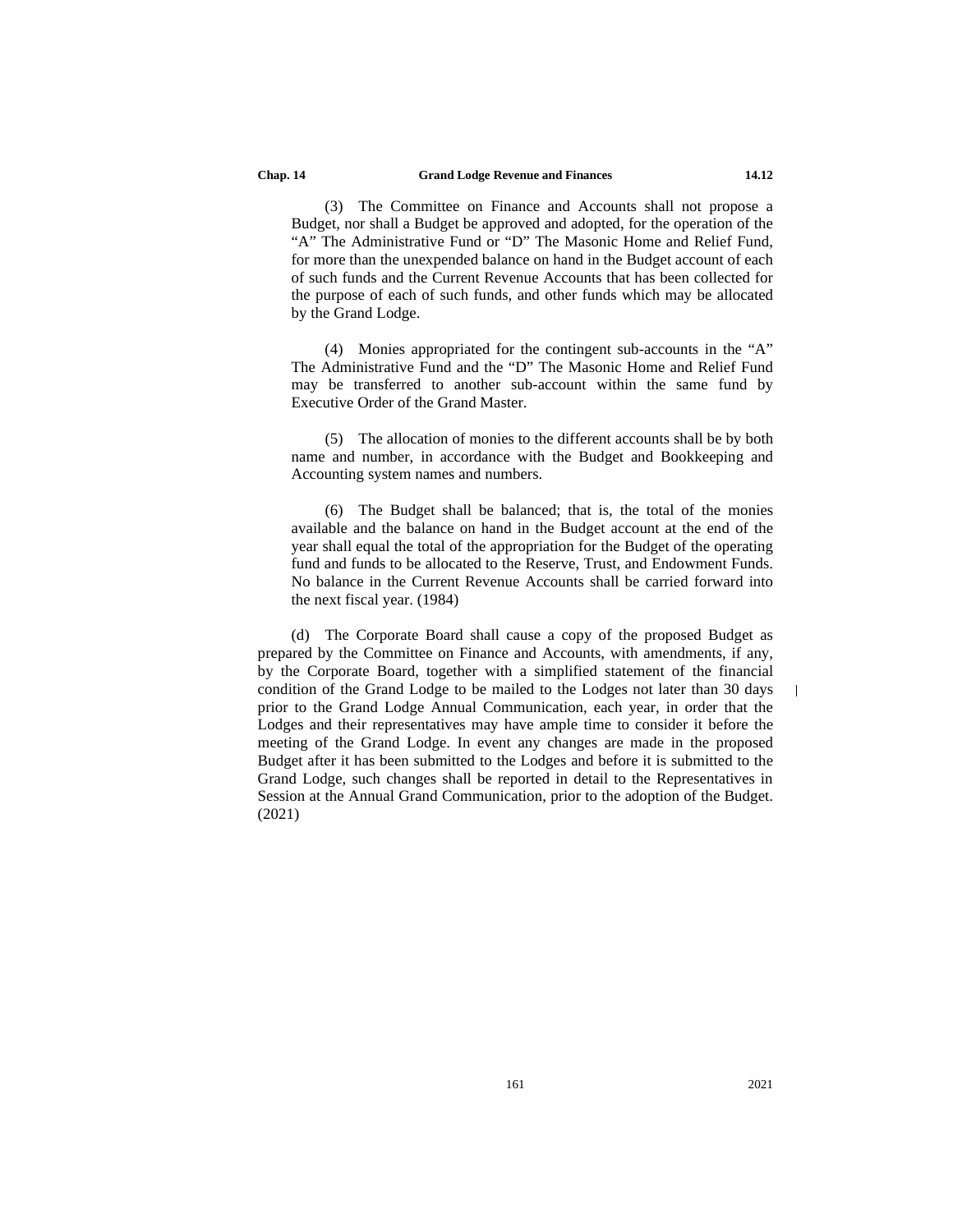(3) The Committee on Finance and Accounts shall not propose a Budget, nor shall a Budget be approved and adopted, for the operation of the "A" The Administrative Fund or "D" The Masonic Home and Relief Fund, for more than the unexpended balance on hand in the Budget account of each of such funds and the Current Revenue Accounts that has been collected for the purpose of each of such funds, and other funds which may be allocated by the Grand Lodge.

(4) Monies appropriated for the contingent sub-accounts in the "A" The Administrative Fund and the "D" The Masonic Home and Relief Fund may be transferred to another sub-account within the same fund by Executive Order of the Grand Master.

(5) The allocation of monies to the different accounts shall be by both name and number, in accordance with the Budget and Bookkeeping and Accounting system names and numbers.

(6) The Budget shall be balanced; that is, the total of the monies available and the balance on hand in the Budget account at the end of the year shall equal the total of the appropriation for the Budget of the operating fund and funds to be allocated to the Reserve, Trust, and Endowment Funds. No balance in the Current Revenue Accounts shall be carried forward into the next fiscal year. (1984)

(d) The Corporate Board shall cause a copy of the proposed Budget as prepared by the Committee on Finance and Accounts, with amendments, if any, by the Corporate Board, together with a simplified statement of the financial condition of the Grand Lodge to be mailed to the Lodges not later than 30 days prior to the Grand Lodge Annual Communication, each year, in order that the Lodges and their representatives may have ample time to consider it before the meeting of the Grand Lodge. In event any changes are made in the proposed Budget after it has been submitted to the Lodges and before it is submitted to the Grand Lodge, such changes shall be reported in detail to the Representatives in Session at the Annual Grand Communication, prior to the adoption of the Budget. (2021)

 $\mathbf{I}$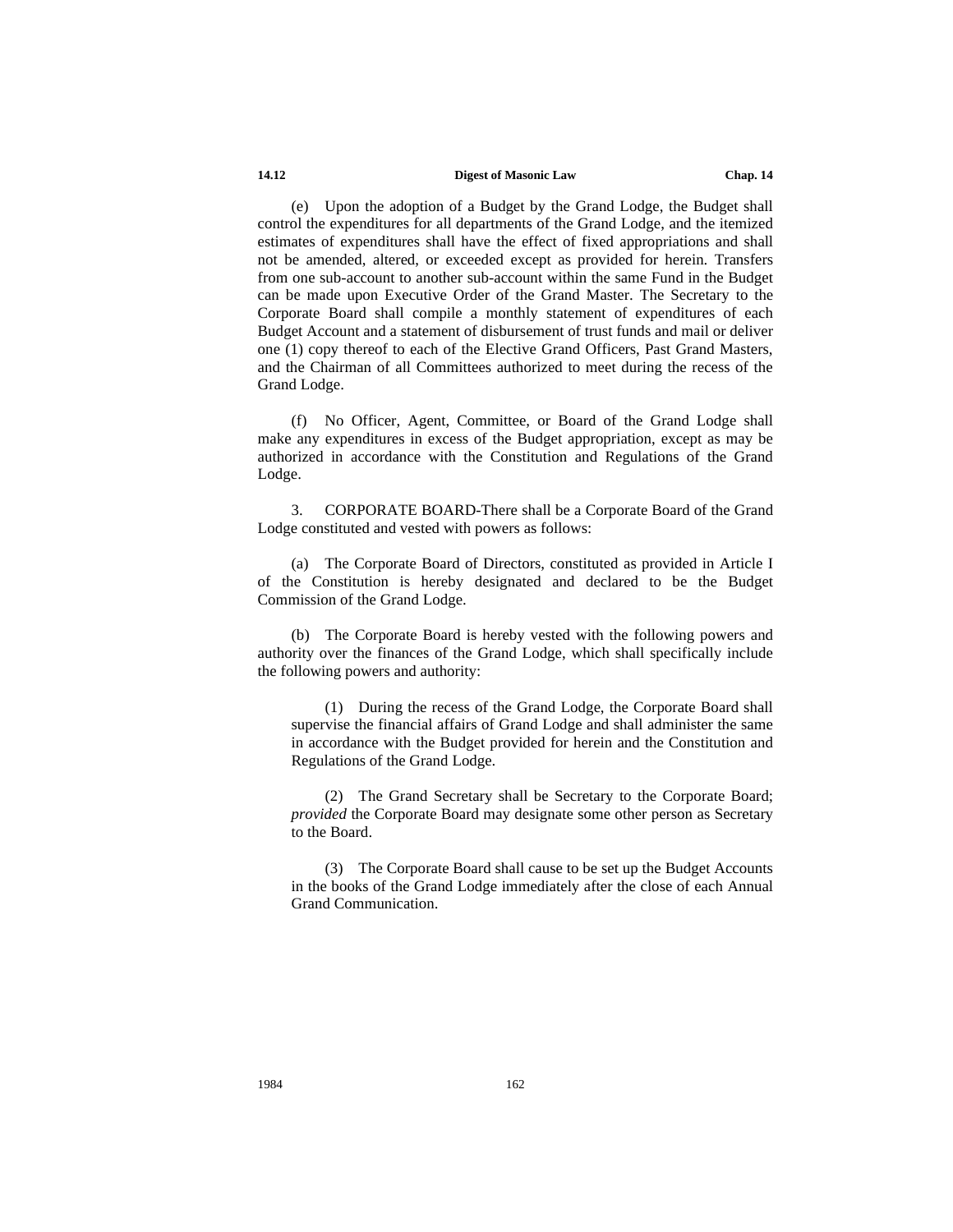# **14.12 Digest of Masonic Law Chap. 14**

(e) Upon the adoption of a Budget by the Grand Lodge, the Budget shall control the expenditures for all departments of the Grand Lodge, and the itemized estimates of expenditures shall have the effect of fixed appropriations and shall not be amended, altered, or exceeded except as provided for herein. Transfers from one sub-account to another sub-account within the same Fund in the Budget can be made upon Executive Order of the Grand Master. The Secretary to the Corporate Board shall compile a monthly statement of expenditures of each Budget Account and a statement of disbursement of trust funds and mail or deliver one (1) copy thereof to each of the Elective Grand Officers, Past Grand Masters, and the Chairman of all Committees authorized to meet during the recess of the Grand Lodge.

(f) No Officer, Agent, Committee, or Board of the Grand Lodge shall make any expenditures in excess of the Budget appropriation, except as may be authorized in accordance with the Constitution and Regulations of the Grand Lodge.

3. CORPORATE BOARD-There shall be a Corporate Board of the Grand Lodge constituted and vested with powers as follows:

(a) The Corporate Board of Directors, constituted as provided in Article I of the Constitution is hereby designated and declared to be the Budget Commission of the Grand Lodge.

(b) The Corporate Board is hereby vested with the following powers and authority over the finances of the Grand Lodge, which shall specifically include the following powers and authority:

(1) During the recess of the Grand Lodge, the Corporate Board shall supervise the financial affairs of Grand Lodge and shall administer the same in accordance with the Budget provided for herein and the Constitution and Regulations of the Grand Lodge.

(2) The Grand Secretary shall be Secretary to the Corporate Board; *provided* the Corporate Board may designate some other person as Secretary to the Board.

(3) The Corporate Board shall cause to be set up the Budget Accounts in the books of the Grand Lodge immediately after the close of each Annual Grand Communication.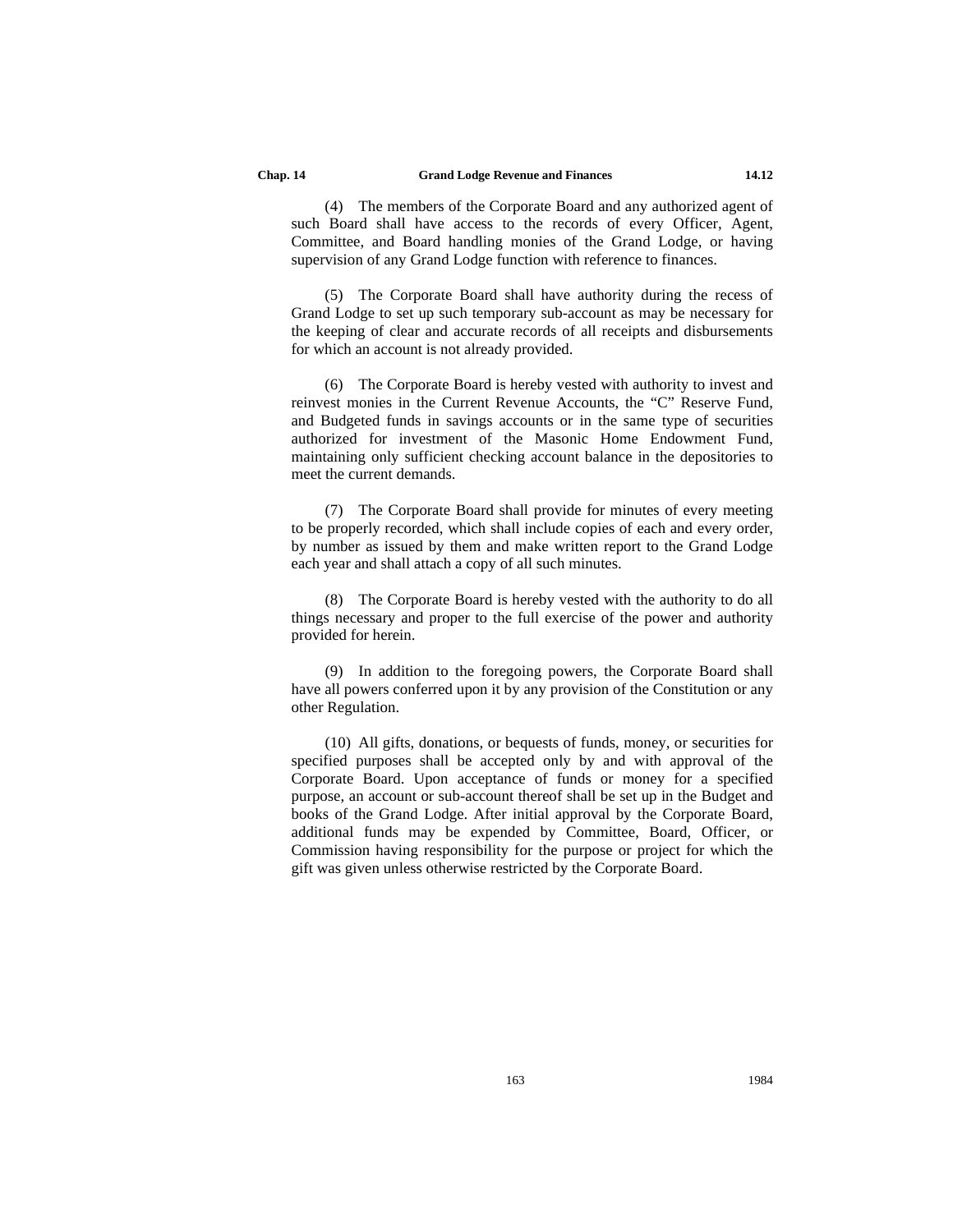(4) The members of the Corporate Board and any authorized agent of such Board shall have access to the records of every Officer, Agent, Committee, and Board handling monies of the Grand Lodge, or having supervision of any Grand Lodge function with reference to finances.

(5) The Corporate Board shall have authority during the recess of Grand Lodge to set up such temporary sub-account as may be necessary for the keeping of clear and accurate records of all receipts and disbursements for which an account is not already provided.

(6) The Corporate Board is hereby vested with authority to invest and reinvest monies in the Current Revenue Accounts, the "C" Reserve Fund, and Budgeted funds in savings accounts or in the same type of securities authorized for investment of the Masonic Home Endowment Fund, maintaining only sufficient checking account balance in the depositories to meet the current demands.

(7) The Corporate Board shall provide for minutes of every meeting to be properly recorded, which shall include copies of each and every order, by number as issued by them and make written report to the Grand Lodge each year and shall attach a copy of all such minutes.

(8) The Corporate Board is hereby vested with the authority to do all things necessary and proper to the full exercise of the power and authority provided for herein.

(9) In addition to the foregoing powers, the Corporate Board shall have all powers conferred upon it by any provision of the Constitution or any other Regulation.

(10) All gifts, donations, or bequests of funds, money, or securities for specified purposes shall be accepted only by and with approval of the Corporate Board. Upon acceptance of funds or money for a specified purpose, an account or sub-account thereof shall be set up in the Budget and books of the Grand Lodge. After initial approval by the Corporate Board, additional funds may be expended by Committee, Board, Officer, or Commission having responsibility for the purpose or project for which the gift was given unless otherwise restricted by the Corporate Board.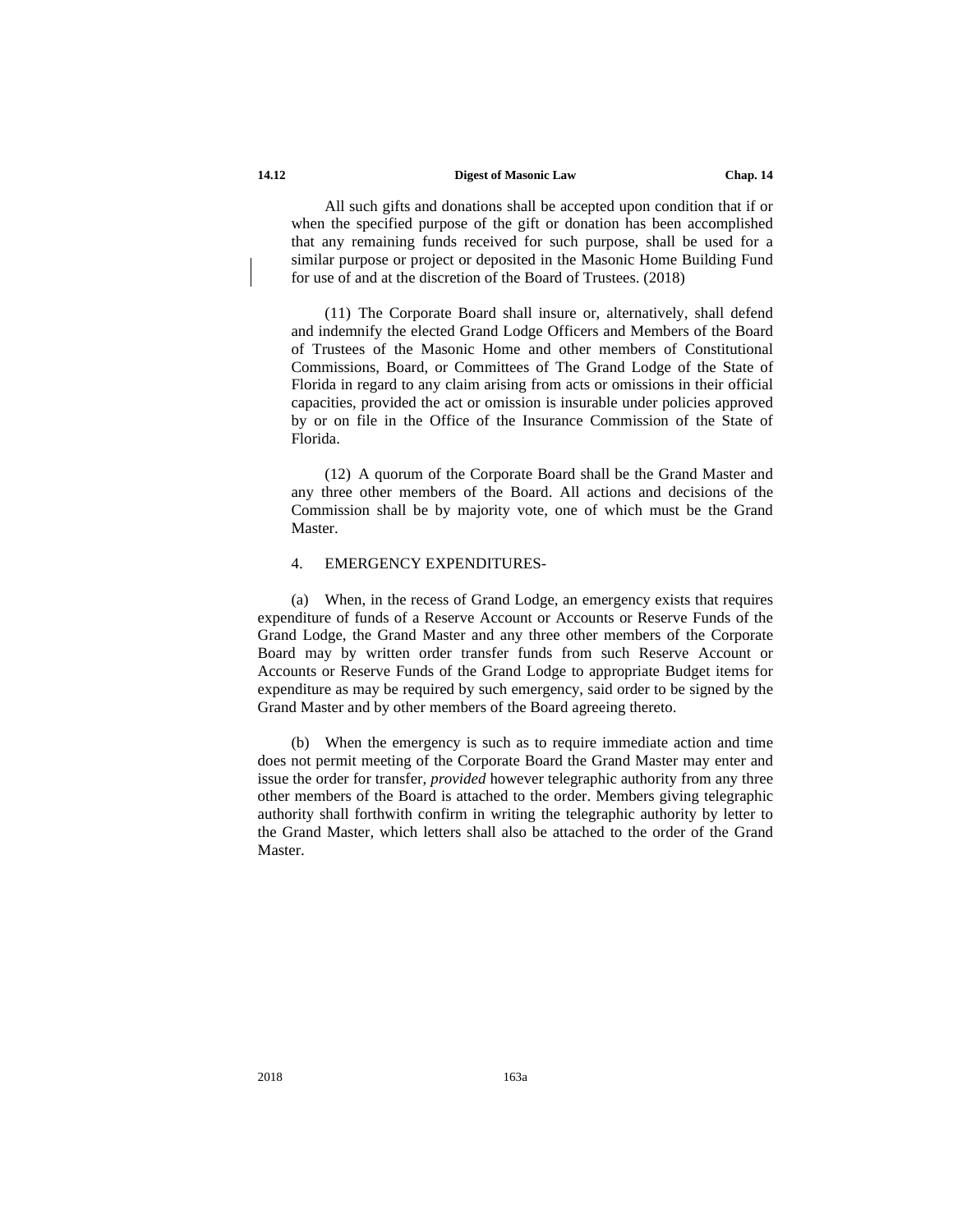## **14.12 Digest of Masonic Law Chap. 14**

All such gifts and donations shall be accepted upon condition that if or when the specified purpose of the gift or donation has been accomplished that any remaining funds received for such purpose, shall be used for a similar purpose or project or deposited in the Masonic Home Building Fund for use of and at the discretion of the Board of Trustees. (2018)

(11) The Corporate Board shall insure or, alternatively, shall defend and indemnify the elected Grand Lodge Officers and Members of the Board of Trustees of the Masonic Home and other members of Constitutional Commissions, Board, or Committees of The Grand Lodge of the State of Florida in regard to any claim arising from acts or omissions in their official capacities, provided the act or omission is insurable under policies approved by or on file in the Office of the Insurance Commission of the State of Florida.

(12) A quorum of the Corporate Board shall be the Grand Master and any three other members of the Board. All actions and decisions of the Commission shall be by majority vote, one of which must be the Grand Master.

# 4. EMERGENCY EXPENDITURES-

(a) When, in the recess of Grand Lodge, an emergency exists that requires expenditure of funds of a Reserve Account or Accounts or Reserve Funds of the Grand Lodge, the Grand Master and any three other members of the Corporate Board may by written order transfer funds from such Reserve Account or Accounts or Reserve Funds of the Grand Lodge to appropriate Budget items for expenditure as may be required by such emergency, said order to be signed by the Grand Master and by other members of the Board agreeing thereto.

(b) When the emergency is such as to require immediate action and time does not permit meeting of the Corporate Board the Grand Master may enter and issue the order for transfer, *provided* however telegraphic authority from any three other members of the Board is attached to the order. Members giving telegraphic authority shall forthwith confirm in writing the telegraphic authority by letter to the Grand Master, which letters shall also be attached to the order of the Grand Master.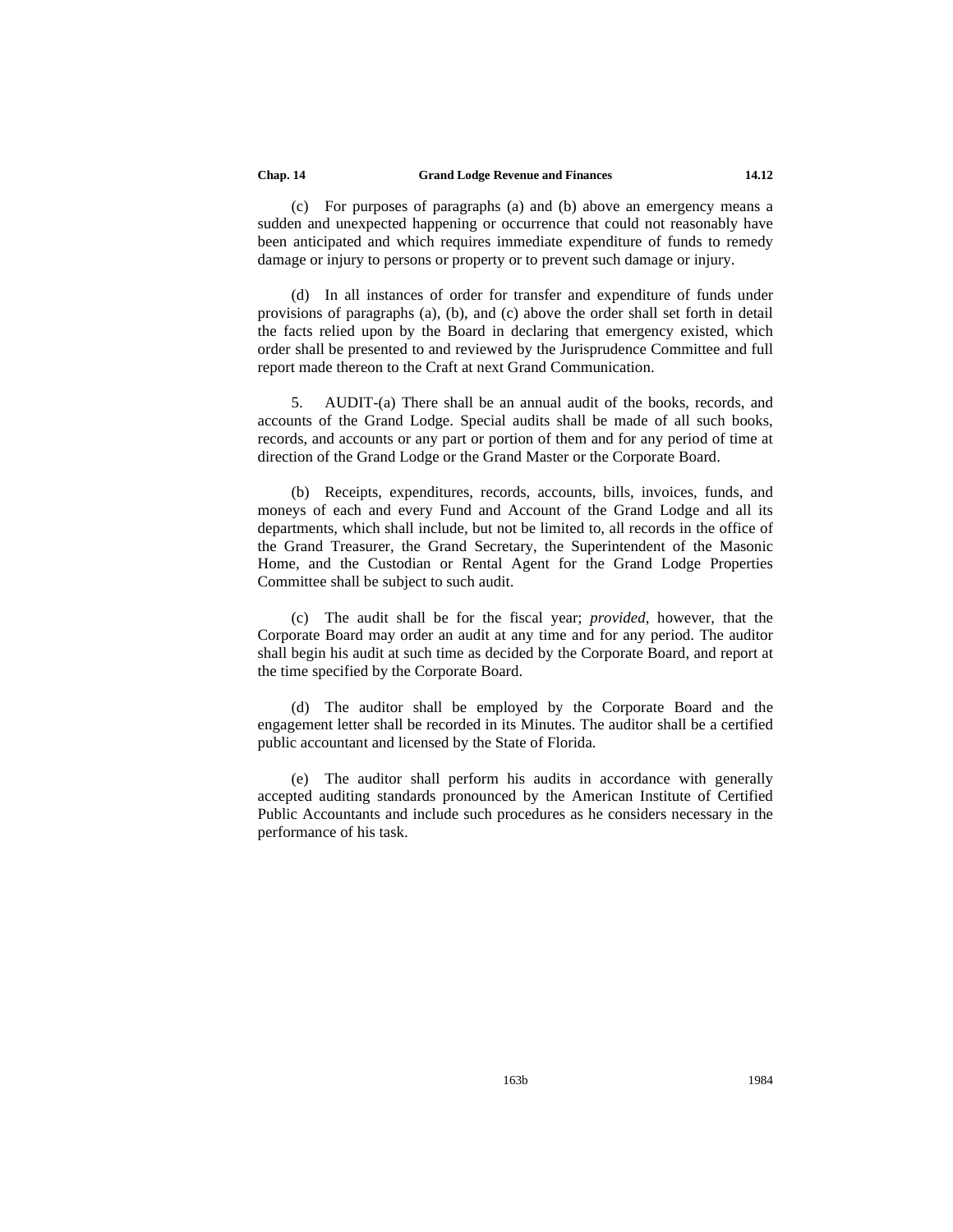(c) For purposes of paragraphs (a) and (b) above an emergency means a sudden and unexpected happening or occurrence that could not reasonably have been anticipated and which requires immediate expenditure of funds to remedy damage or injury to persons or property or to prevent such damage or injury.

(d) In all instances of order for transfer and expenditure of funds under provisions of paragraphs (a), (b), and (c) above the order shall set forth in detail the facts relied upon by the Board in declaring that emergency existed, which order shall be presented to and reviewed by the Jurisprudence Committee and full report made thereon to the Craft at next Grand Communication.

5. AUDIT-(a) There shall be an annual audit of the books, records, and accounts of the Grand Lodge. Special audits shall be made of all such books, records, and accounts or any part or portion of them and for any period of time at direction of the Grand Lodge or the Grand Master or the Corporate Board.

(b) Receipts, expenditures, records, accounts, bills, invoices, funds, and moneys of each and every Fund and Account of the Grand Lodge and all its departments, which shall include, but not be limited to, all records in the office of the Grand Treasurer, the Grand Secretary, the Superintendent of the Masonic Home, and the Custodian or Rental Agent for the Grand Lodge Properties Committee shall be subject to such audit.

(c) The audit shall be for the fiscal year; *provided*, however, that the Corporate Board may order an audit at any time and for any period. The auditor shall begin his audit at such time as decided by the Corporate Board, and report at the time specified by the Corporate Board.

(d) The auditor shall be employed by the Corporate Board and the engagement letter shall be recorded in its Minutes. The auditor shall be a certified public accountant and licensed by the State of Florida.

(e) The auditor shall perform his audits in accordance with generally accepted auditing standards pronounced by the American Institute of Certified Public Accountants and include such procedures as he considers necessary in the performance of his task.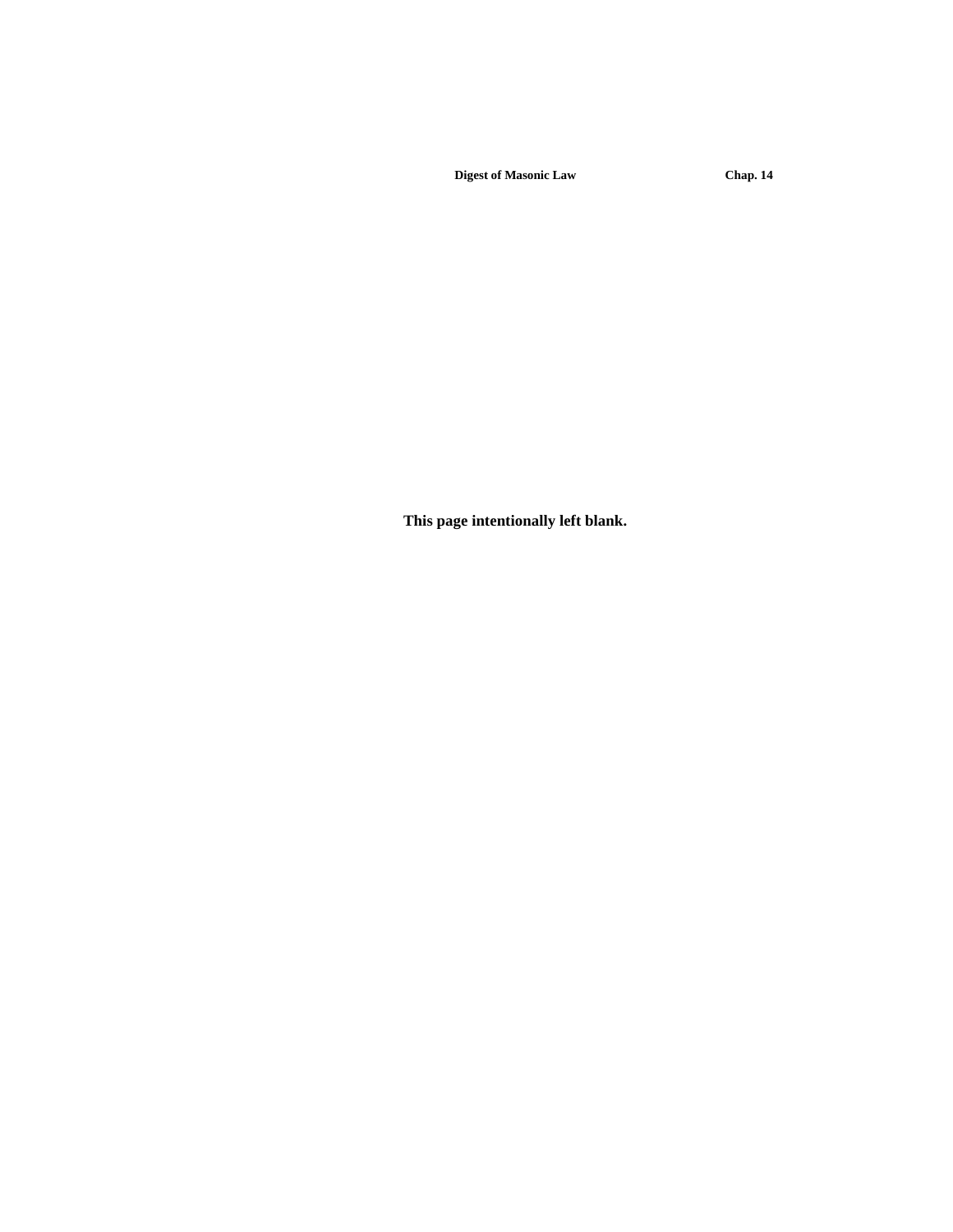**Digest of Masonic Law Chap. 14**

**This page intentionally left blank.**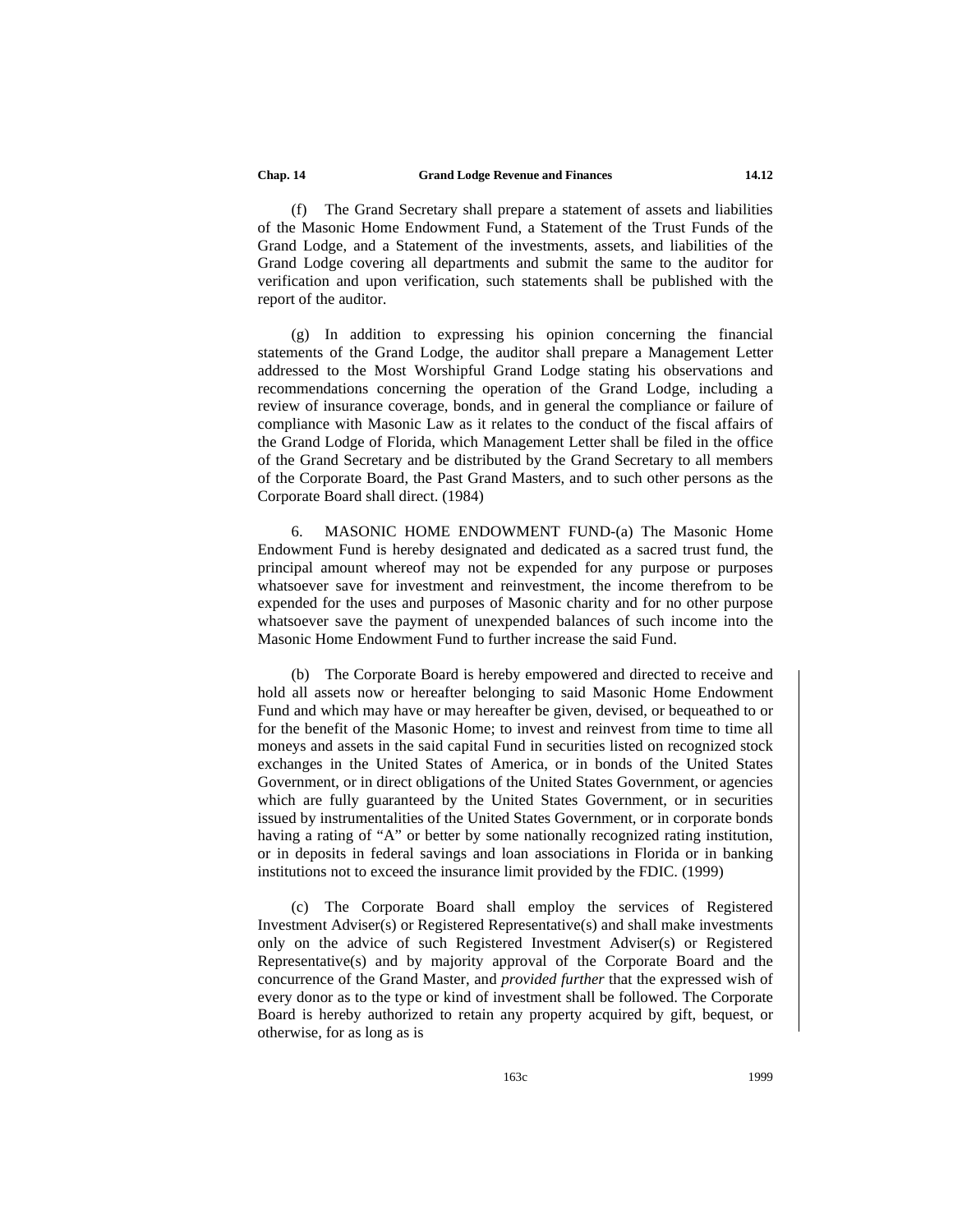(f) The Grand Secretary shall prepare a statement of assets and liabilities of the Masonic Home Endowment Fund, a Statement of the Trust Funds of the Grand Lodge, and a Statement of the investments, assets, and liabilities of the Grand Lodge covering all departments and submit the same to the auditor for verification and upon verification, such statements shall be published with the report of the auditor.

(g) In addition to expressing his opinion concerning the financial statements of the Grand Lodge, the auditor shall prepare a Management Letter addressed to the Most Worshipful Grand Lodge stating his observations and recommendations concerning the operation of the Grand Lodge, including a review of insurance coverage, bonds, and in general the compliance or failure of compliance with Masonic Law as it relates to the conduct of the fiscal affairs of the Grand Lodge of Florida, which Management Letter shall be filed in the office of the Grand Secretary and be distributed by the Grand Secretary to all members of the Corporate Board, the Past Grand Masters, and to such other persons as the Corporate Board shall direct. (1984)

6. MASONIC HOME ENDOWMENT FUND-(a) The Masonic Home Endowment Fund is hereby designated and dedicated as a sacred trust fund, the principal amount whereof may not be expended for any purpose or purposes whatsoever save for investment and reinvestment, the income therefrom to be expended for the uses and purposes of Masonic charity and for no other purpose whatsoever save the payment of unexpended balances of such income into the Masonic Home Endowment Fund to further increase the said Fund.

(b) The Corporate Board is hereby empowered and directed to receive and hold all assets now or hereafter belonging to said Masonic Home Endowment Fund and which may have or may hereafter be given, devised, or bequeathed to or for the benefit of the Masonic Home; to invest and reinvest from time to time all moneys and assets in the said capital Fund in securities listed on recognized stock exchanges in the United States of America, or in bonds of the United States Government, or in direct obligations of the United States Government, or agencies which are fully guaranteed by the United States Government, or in securities issued by instrumentalities of the United States Government, or in corporate bonds having a rating of "A" or better by some nationally recognized rating institution, or in deposits in federal savings and loan associations in Florida or in banking institutions not to exceed the insurance limit provided by the FDIC. (1999)

(c) The Corporate Board shall employ the services of Registered Investment Adviser(s) or Registered Representative(s) and shall make investments only on the advice of such Registered Investment Adviser(s) or Registered Representative(s) and by majority approval of the Corporate Board and the concurrence of the Grand Master, and *provided further* that the expressed wish of every donor as to the type or kind of investment shall be followed. The Corporate Board is hereby authorized to retain any property acquired by gift, bequest, or otherwise, for as long as is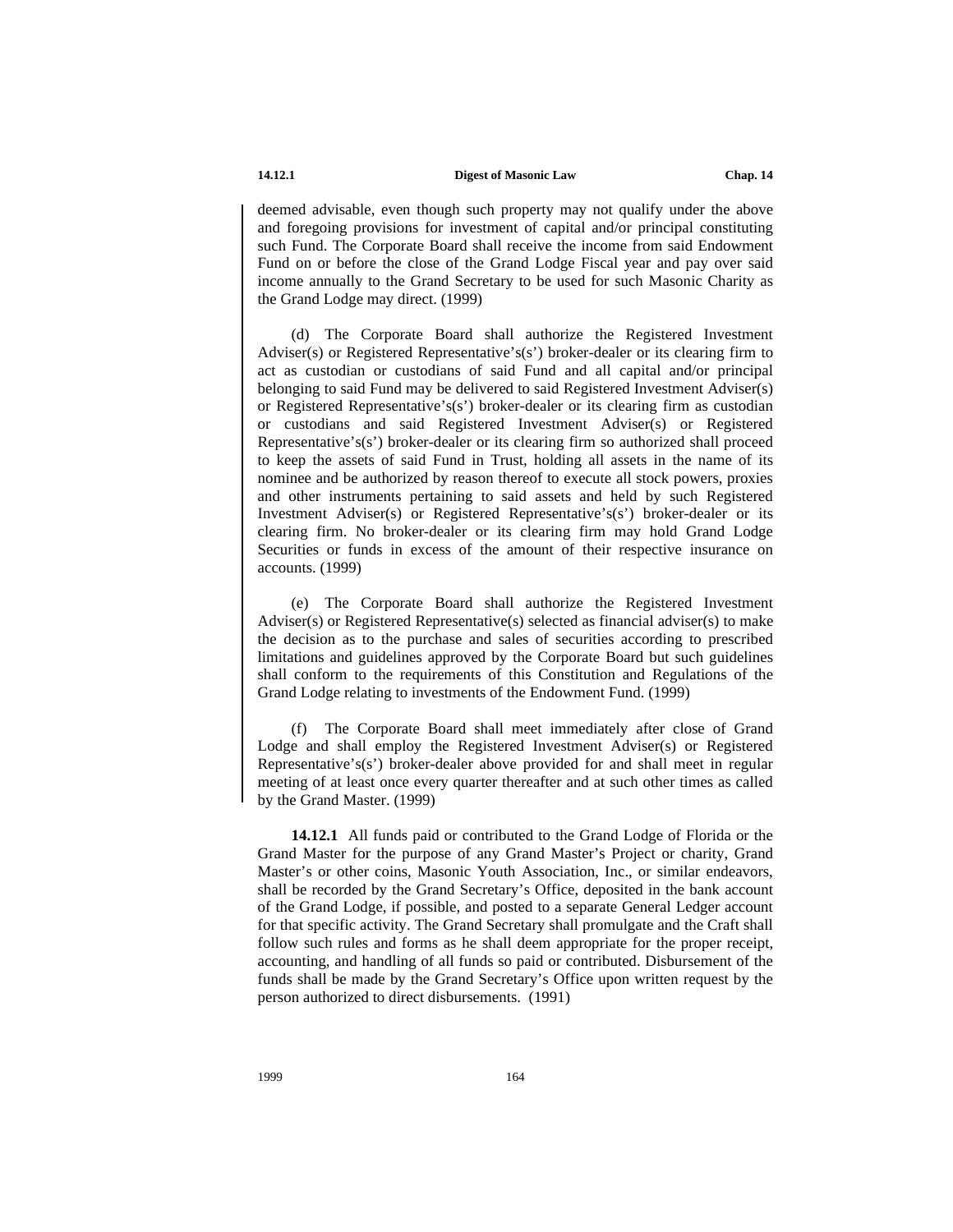deemed advisable, even though such property may not qualify under the above and foregoing provisions for investment of capital and/or principal constituting such Fund. The Corporate Board shall receive the income from said Endowment Fund on or before the close of the Grand Lodge Fiscal year and pay over said income annually to the Grand Secretary to be used for such Masonic Charity as the Grand Lodge may direct. (1999)

(d) The Corporate Board shall authorize the Registered Investment Adviser(s) or Registered Representative's(s') broker-dealer or its clearing firm to act as custodian or custodians of said Fund and all capital and/or principal belonging to said Fund may be delivered to said Registered Investment Adviser(s) or Registered Representative's(s') broker-dealer or its clearing firm as custodian or custodians and said Registered Investment Adviser(s) or Registered Representative's(s') broker-dealer or its clearing firm so authorized shall proceed to keep the assets of said Fund in Trust, holding all assets in the name of its nominee and be authorized by reason thereof to execute all stock powers, proxies and other instruments pertaining to said assets and held by such Registered Investment Adviser(s) or Registered Representative's(s') broker-dealer or its clearing firm. No broker-dealer or its clearing firm may hold Grand Lodge Securities or funds in excess of the amount of their respective insurance on accounts. (1999)

(e) The Corporate Board shall authorize the Registered Investment Adviser(s) or Registered Representative(s) selected as financial adviser(s) to make the decision as to the purchase and sales of securities according to prescribed limitations and guidelines approved by the Corporate Board but such guidelines shall conform to the requirements of this Constitution and Regulations of the Grand Lodge relating to investments of the Endowment Fund. (1999)

(f) The Corporate Board shall meet immediately after close of Grand Lodge and shall employ the Registered Investment Adviser(s) or Registered Representative's(s') broker-dealer above provided for and shall meet in regular meeting of at least once every quarter thereafter and at such other times as called by the Grand Master. (1999)

**14.12.1** All funds paid or contributed to the Grand Lodge of Florida or the Grand Master for the purpose of any Grand Master's Project or charity, Grand Master's or other coins, Masonic Youth Association, Inc., or similar endeavors, shall be recorded by the Grand Secretary's Office, deposited in the bank account of the Grand Lodge, if possible, and posted to a separate General Ledger account for that specific activity. The Grand Secretary shall promulgate and the Craft shall follow such rules and forms as he shall deem appropriate for the proper receipt, accounting, and handling of all funds so paid or contributed. Disbursement of the funds shall be made by the Grand Secretary's Office upon written request by the person authorized to direct disbursements. (1991)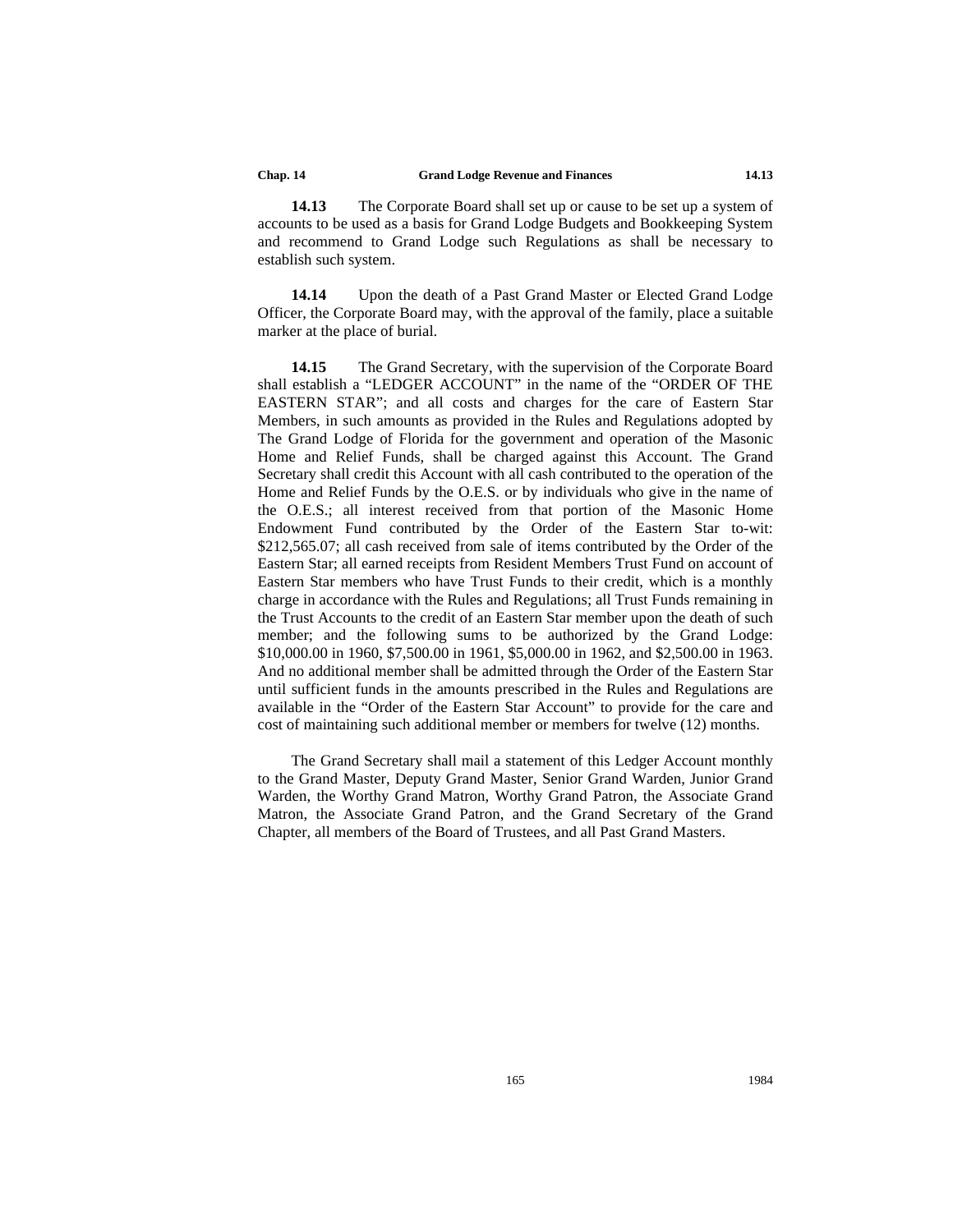**14.13** The Corporate Board shall set up or cause to be set up a system of accounts to be used as a basis for Grand Lodge Budgets and Bookkeeping System and recommend to Grand Lodge such Regulations as shall be necessary to establish such system.

**14.14** Upon the death of a Past Grand Master or Elected Grand Lodge Officer, the Corporate Board may, with the approval of the family, place a suitable marker at the place of burial.

14.15 The Grand Secretary, with the supervision of the Corporate Board shall establish a "LEDGER ACCOUNT" in the name of the "ORDER OF THE EASTERN STAR"; and all costs and charges for the care of Eastern Star Members, in such amounts as provided in the Rules and Regulations adopted by The Grand Lodge of Florida for the government and operation of the Masonic Home and Relief Funds, shall be charged against this Account. The Grand Secretary shall credit this Account with all cash contributed to the operation of the Home and Relief Funds by the O.E.S. or by individuals who give in the name of the O.E.S.; all interest received from that portion of the Masonic Home Endowment Fund contributed by the Order of the Eastern Star to-wit: \$212,565.07; all cash received from sale of items contributed by the Order of the Eastern Star; all earned receipts from Resident Members Trust Fund on account of Eastern Star members who have Trust Funds to their credit, which is a monthly charge in accordance with the Rules and Regulations; all Trust Funds remaining in the Trust Accounts to the credit of an Eastern Star member upon the death of such member; and the following sums to be authorized by the Grand Lodge: \$10,000.00 in 1960, \$7,500.00 in 1961, \$5,000.00 in 1962, and \$2,500.00 in 1963. And no additional member shall be admitted through the Order of the Eastern Star until sufficient funds in the amounts prescribed in the Rules and Regulations are available in the "Order of the Eastern Star Account" to provide for the care and cost of maintaining such additional member or members for twelve (12) months.

The Grand Secretary shall mail a statement of this Ledger Account monthly to the Grand Master, Deputy Grand Master, Senior Grand Warden, Junior Grand Warden, the Worthy Grand Matron, Worthy Grand Patron, the Associate Grand Matron, the Associate Grand Patron, and the Grand Secretary of the Grand Chapter, all members of the Board of Trustees, and all Past Grand Masters.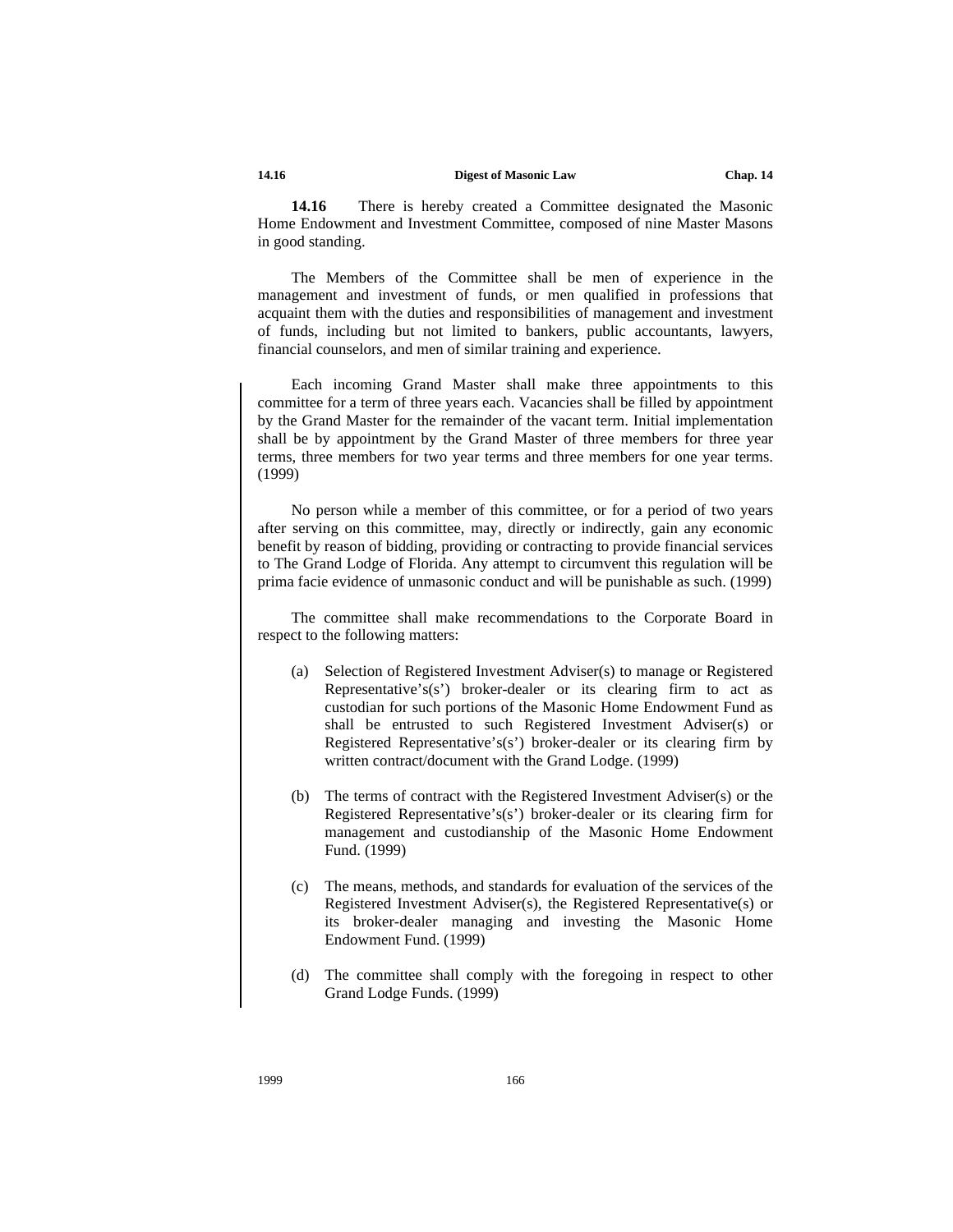## **14.16 Digest of Masonic Law Chap. 14**

**14.16** There is hereby created a Committee designated the Masonic Home Endowment and Investment Committee, composed of nine Master Masons in good standing.

The Members of the Committee shall be men of experience in the management and investment of funds, or men qualified in professions that acquaint them with the duties and responsibilities of management and investment of funds, including but not limited to bankers, public accountants, lawyers, financial counselors, and men of similar training and experience.

Each incoming Grand Master shall make three appointments to this committee for a term of three years each. Vacancies shall be filled by appointment by the Grand Master for the remainder of the vacant term. Initial implementation shall be by appointment by the Grand Master of three members for three year terms, three members for two year terms and three members for one year terms. (1999)

No person while a member of this committee, or for a period of two years after serving on this committee, may, directly or indirectly, gain any economic benefit by reason of bidding, providing or contracting to provide financial services to The Grand Lodge of Florida. Any attempt to circumvent this regulation will be prima facie evidence of unmasonic conduct and will be punishable as such. (1999)

The committee shall make recommendations to the Corporate Board in respect to the following matters:

- (a) Selection of Registered Investment Adviser(s) to manage or Registered Representative's(s') broker-dealer or its clearing firm to act as custodian for such portions of the Masonic Home Endowment Fund as shall be entrusted to such Registered Investment Adviser(s) or Registered Representative's(s') broker-dealer or its clearing firm by written contract/document with the Grand Lodge. (1999)
- (b) The terms of contract with the Registered Investment Adviser(s) or the Registered Representative's(s') broker-dealer or its clearing firm for management and custodianship of the Masonic Home Endowment Fund. (1999)
- (c) The means, methods, and standards for evaluation of the services of the Registered Investment Adviser(s), the Registered Representative(s) or its broker-dealer managing and investing the Masonic Home Endowment Fund. (1999)
- (d) The committee shall comply with the foregoing in respect to other Grand Lodge Funds. (1999)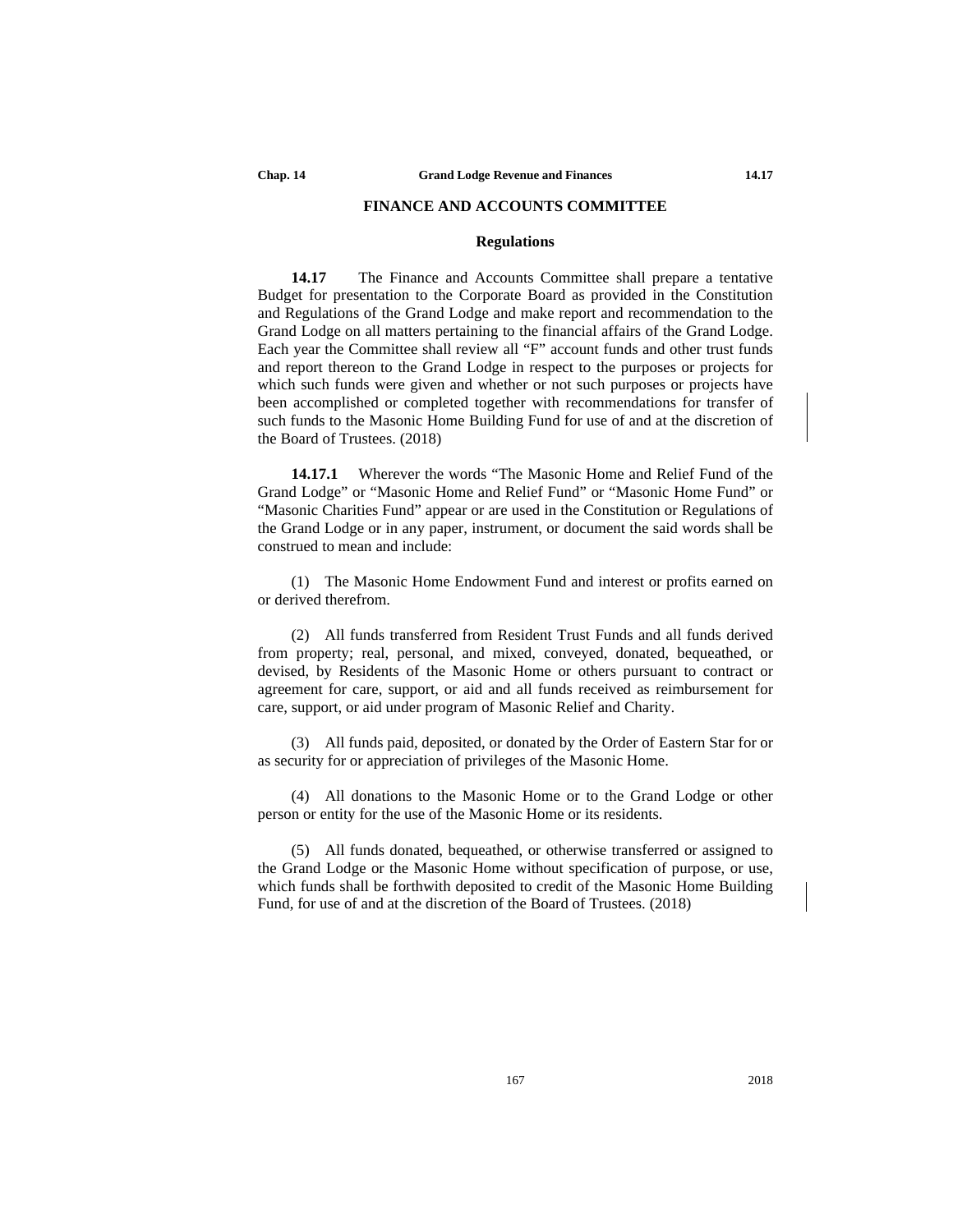# **FINANCE AND ACCOUNTS COMMITTEE**

## **Regulations**

**14.17** The Finance and Accounts Committee shall prepare a tentative Budget for presentation to the Corporate Board as provided in the Constitution and Regulations of the Grand Lodge and make report and recommendation to the Grand Lodge on all matters pertaining to the financial affairs of the Grand Lodge. Each year the Committee shall review all "F" account funds and other trust funds and report thereon to the Grand Lodge in respect to the purposes or projects for which such funds were given and whether or not such purposes or projects have been accomplished or completed together with recommendations for transfer of such funds to the Masonic Home Building Fund for use of and at the discretion of the Board of Trustees. (2018)

**14.17.1** Wherever the words "The Masonic Home and Relief Fund of the Grand Lodge" or "Masonic Home and Relief Fund" or "Masonic Home Fund" or "Masonic Charities Fund" appear or are used in the Constitution or Regulations of the Grand Lodge or in any paper, instrument, or document the said words shall be construed to mean and include:

(1) The Masonic Home Endowment Fund and interest or profits earned on or derived therefrom.

(2) All funds transferred from Resident Trust Funds and all funds derived from property; real, personal, and mixed, conveyed, donated, bequeathed, or devised, by Residents of the Masonic Home or others pursuant to contract or agreement for care, support, or aid and all funds received as reimbursement for care, support, or aid under program of Masonic Relief and Charity.

(3) All funds paid, deposited, or donated by the Order of Eastern Star for or as security for or appreciation of privileges of the Masonic Home.

(4) All donations to the Masonic Home or to the Grand Lodge or other person or entity for the use of the Masonic Home or its residents.

(5) All funds donated, bequeathed, or otherwise transferred or assigned to the Grand Lodge or the Masonic Home without specification of purpose, or use, which funds shall be forthwith deposited to credit of the Masonic Home Building Fund, for use of and at the discretion of the Board of Trustees. (2018)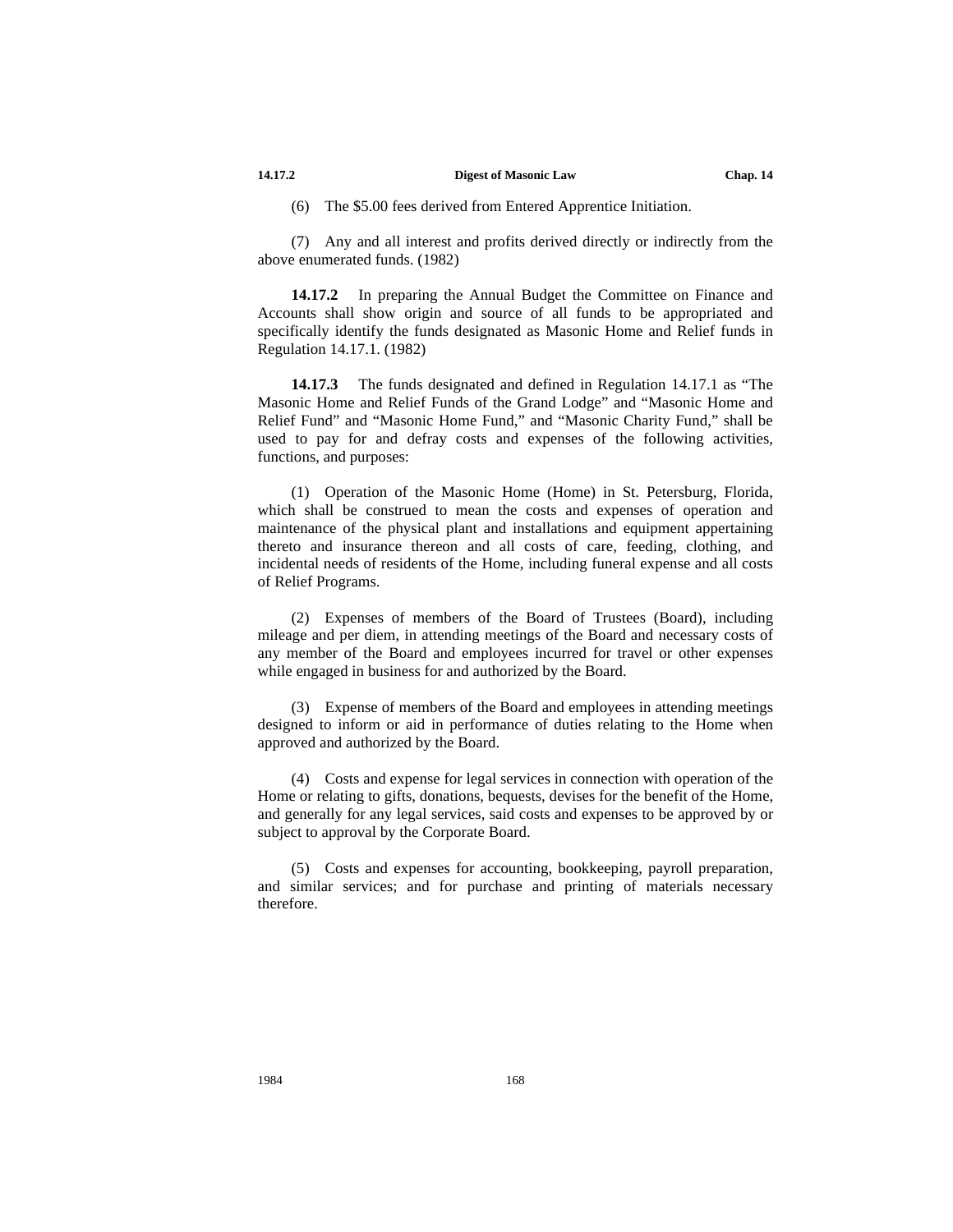## **14.17.2 Digest of Masonic Law Chap. 14**

(6) The \$5.00 fees derived from Entered Apprentice Initiation.

(7) Any and all interest and profits derived directly or indirectly from the above enumerated funds. (1982)

14.17.2 In preparing the Annual Budget the Committee on Finance and Accounts shall show origin and source of all funds to be appropriated and specifically identify the funds designated as Masonic Home and Relief funds in Regulation 14.17.1. (1982)

**14.17.3** The funds designated and defined in Regulation 14.17.1 as "The Masonic Home and Relief Funds of the Grand Lodge" and "Masonic Home and Relief Fund" and "Masonic Home Fund," and "Masonic Charity Fund," shall be used to pay for and defray costs and expenses of the following activities, functions, and purposes:

(1) Operation of the Masonic Home (Home) in St. Petersburg, Florida, which shall be construed to mean the costs and expenses of operation and maintenance of the physical plant and installations and equipment appertaining thereto and insurance thereon and all costs of care, feeding, clothing, and incidental needs of residents of the Home, including funeral expense and all costs of Relief Programs.

(2) Expenses of members of the Board of Trustees (Board), including mileage and per diem, in attending meetings of the Board and necessary costs of any member of the Board and employees incurred for travel or other expenses while engaged in business for and authorized by the Board.

(3) Expense of members of the Board and employees in attending meetings designed to inform or aid in performance of duties relating to the Home when approved and authorized by the Board.

(4) Costs and expense for legal services in connection with operation of the Home or relating to gifts, donations, bequests, devises for the benefit of the Home, and generally for any legal services, said costs and expenses to be approved by or subject to approval by the Corporate Board.

(5) Costs and expenses for accounting, bookkeeping, payroll preparation, and similar services; and for purchase and printing of materials necessary therefore.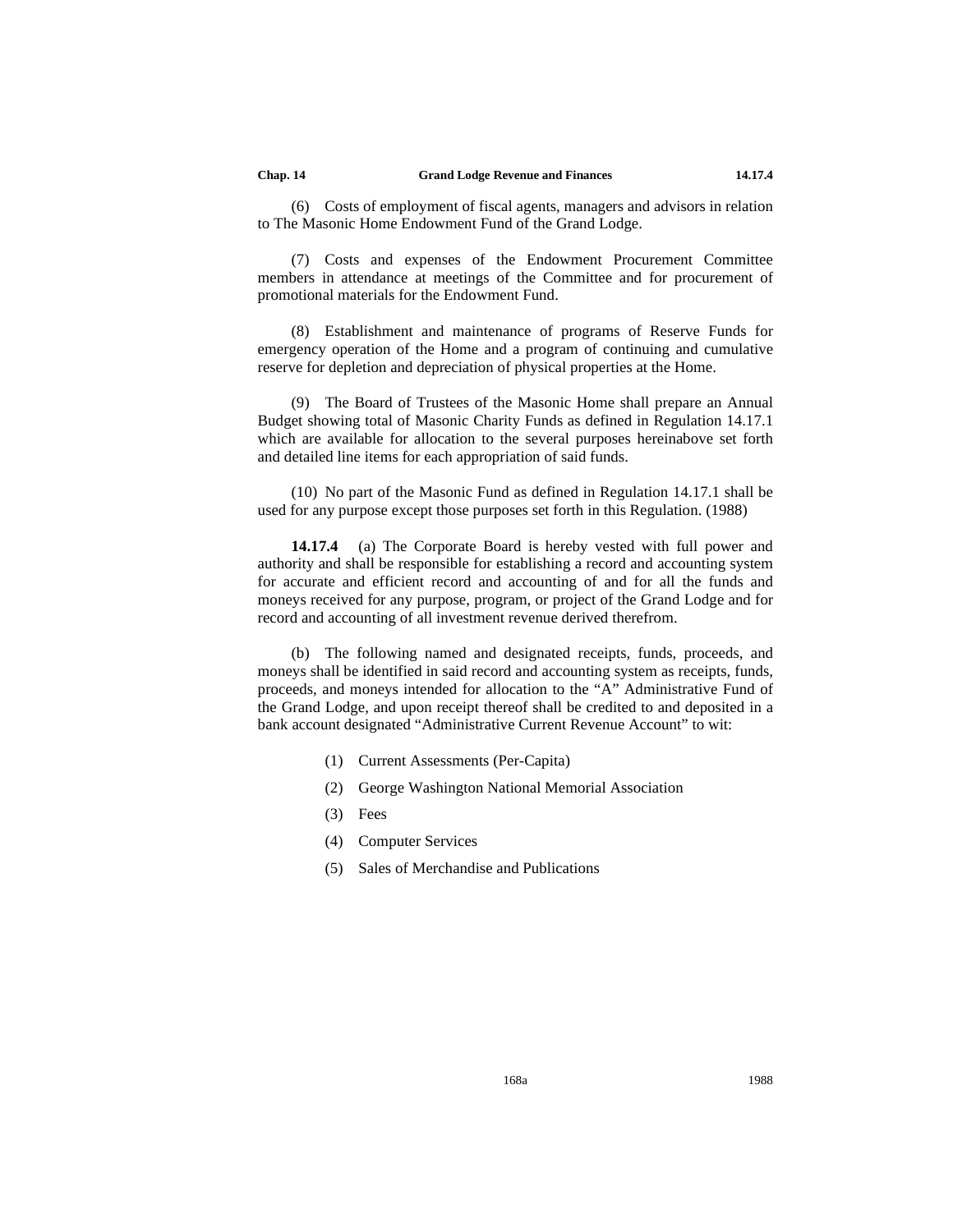(6) Costs of employment of fiscal agents, managers and advisors in relation to The Masonic Home Endowment Fund of the Grand Lodge.

(7) Costs and expenses of the Endowment Procurement Committee members in attendance at meetings of the Committee and for procurement of promotional materials for the Endowment Fund.

(8) Establishment and maintenance of programs of Reserve Funds for emergency operation of the Home and a program of continuing and cumulative reserve for depletion and depreciation of physical properties at the Home.

(9) The Board of Trustees of the Masonic Home shall prepare an Annual Budget showing total of Masonic Charity Funds as defined in Regulation 14.17.1 which are available for allocation to the several purposes hereinabove set forth and detailed line items for each appropriation of said funds.

(10) No part of the Masonic Fund as defined in Regulation 14.17.1 shall be used for any purpose except those purposes set forth in this Regulation. (1988)

**14.17.4** (a) The Corporate Board is hereby vested with full power and authority and shall be responsible for establishing a record and accounting system for accurate and efficient record and accounting of and for all the funds and moneys received for any purpose, program, or project of the Grand Lodge and for record and accounting of all investment revenue derived therefrom.

(b) The following named and designated receipts, funds, proceeds, and moneys shall be identified in said record and accounting system as receipts, funds, proceeds, and moneys intended for allocation to the "A" Administrative Fund of the Grand Lodge, and upon receipt thereof shall be credited to and deposited in a bank account designated "Administrative Current Revenue Account" to wit:

- (1) Current Assessments (Per-Capita)
- (2) George Washington National Memorial Association
- (3) Fees
- (4) Computer Services
- (5) Sales of Merchandise and Publications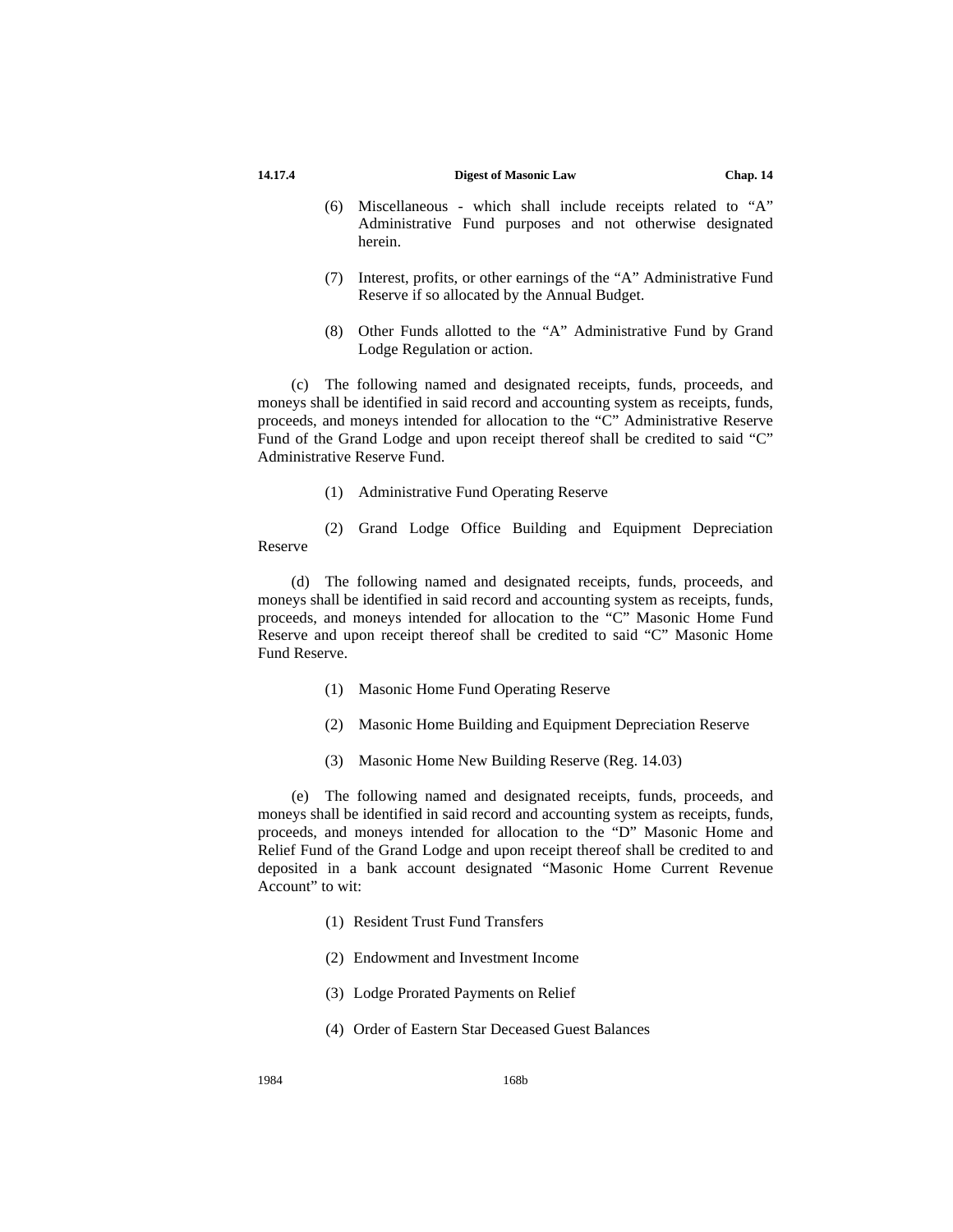## **14.17.4 Digest of Masonic Law Chap. 14**

- (6) Miscellaneous which shall include receipts related to "A" Administrative Fund purposes and not otherwise designated herein.
- (7) Interest, profits, or other earnings of the "A" Administrative Fund Reserve if so allocated by the Annual Budget.
- (8) Other Funds allotted to the "A" Administrative Fund by Grand Lodge Regulation or action.

(c) The following named and designated receipts, funds, proceeds, and moneys shall be identified in said record and accounting system as receipts, funds, proceeds, and moneys intended for allocation to the "C" Administrative Reserve Fund of the Grand Lodge and upon receipt thereof shall be credited to said "C" Administrative Reserve Fund.

(1) Administrative Fund Operating Reserve

(2) Grand Lodge Office Building and Equipment Depreciation Reserve

(d) The following named and designated receipts, funds, proceeds, and moneys shall be identified in said record and accounting system as receipts, funds, proceeds, and moneys intended for allocation to the "C" Masonic Home Fund Reserve and upon receipt thereof shall be credited to said "C" Masonic Home Fund Reserve.

- (1) Masonic Home Fund Operating Reserve
- (2) Masonic Home Building and Equipment Depreciation Reserve
- (3) Masonic Home New Building Reserve (Reg. 14.03)

(e) The following named and designated receipts, funds, proceeds, and moneys shall be identified in said record and accounting system as receipts, funds, proceeds, and moneys intended for allocation to the "D" Masonic Home and Relief Fund of the Grand Lodge and upon receipt thereof shall be credited to and deposited in a bank account designated "Masonic Home Current Revenue Account" to wit:

- (1) Resident Trust Fund Transfers
- (2) Endowment and Investment Income
- (3) Lodge Prorated Payments on Relief
- (4) Order of Eastern Star Deceased Guest Balances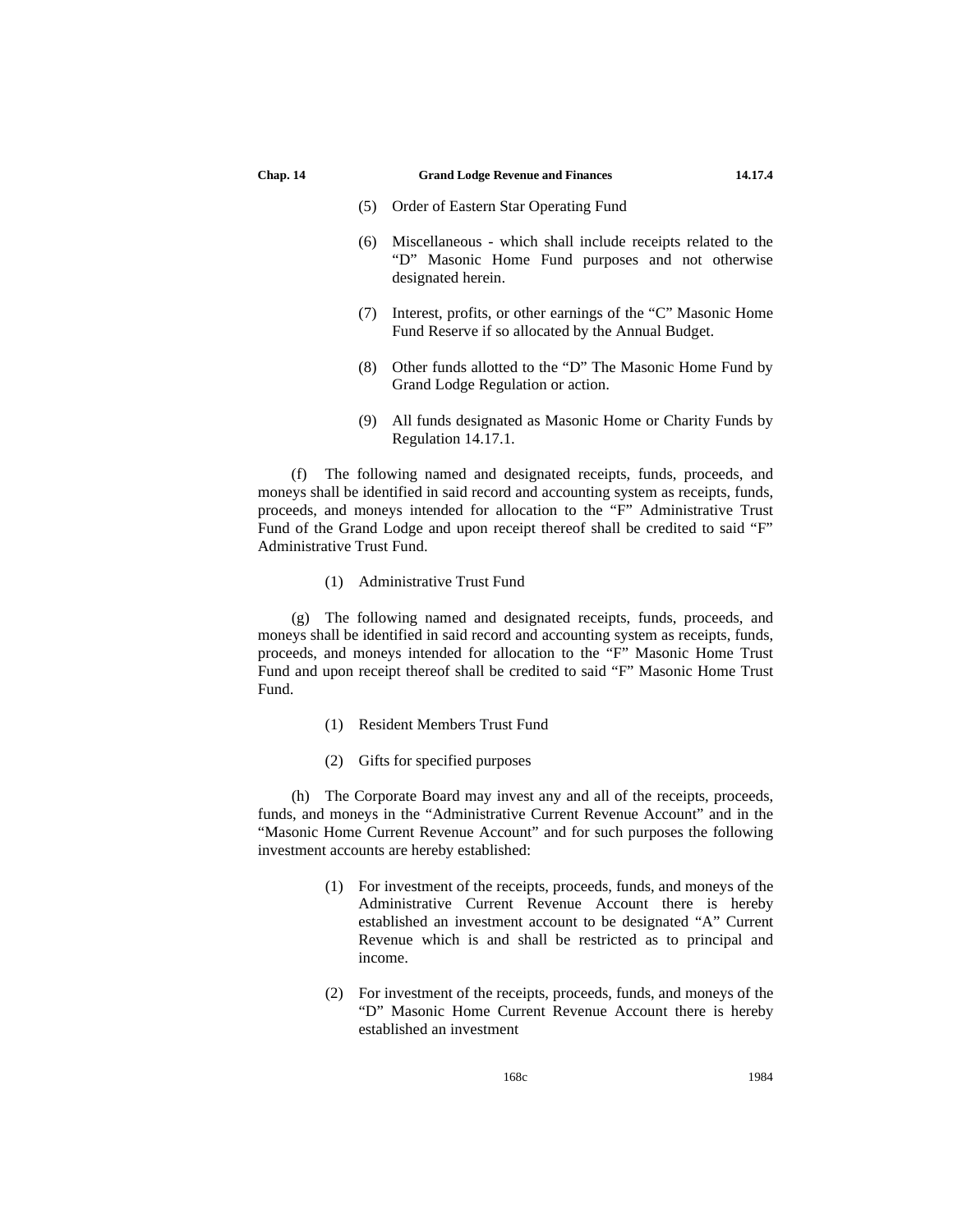- 
- (5) Order of Eastern Star Operating Fund
- (6) Miscellaneous which shall include receipts related to the "D" Masonic Home Fund purposes and not otherwise designated herein.
- (7) Interest, profits, or other earnings of the "C" Masonic Home Fund Reserve if so allocated by the Annual Budget.
- (8) Other funds allotted to the "D" The Masonic Home Fund by Grand Lodge Regulation or action.
- (9) All funds designated as Masonic Home or Charity Funds by Regulation 14.17.1.

(f) The following named and designated receipts, funds, proceeds, and moneys shall be identified in said record and accounting system as receipts, funds, proceeds, and moneys intended for allocation to the "F" Administrative Trust Fund of the Grand Lodge and upon receipt thereof shall be credited to said "F" Administrative Trust Fund.

(1) Administrative Trust Fund

(g) The following named and designated receipts, funds, proceeds, and moneys shall be identified in said record and accounting system as receipts, funds, proceeds, and moneys intended for allocation to the "F" Masonic Home Trust Fund and upon receipt thereof shall be credited to said "F" Masonic Home Trust Fund.

- (1) Resident Members Trust Fund
- (2) Gifts for specified purposes

(h) The Corporate Board may invest any and all of the receipts, proceeds, funds, and moneys in the "Administrative Current Revenue Account" and in the "Masonic Home Current Revenue Account" and for such purposes the following investment accounts are hereby established:

- (1) For investment of the receipts, proceeds, funds, and moneys of the Administrative Current Revenue Account there is hereby established an investment account to be designated "A" Current Revenue which is and shall be restricted as to principal and income.
- (2) For investment of the receipts, proceeds, funds, and moneys of the "D" Masonic Home Current Revenue Account there is hereby established an investment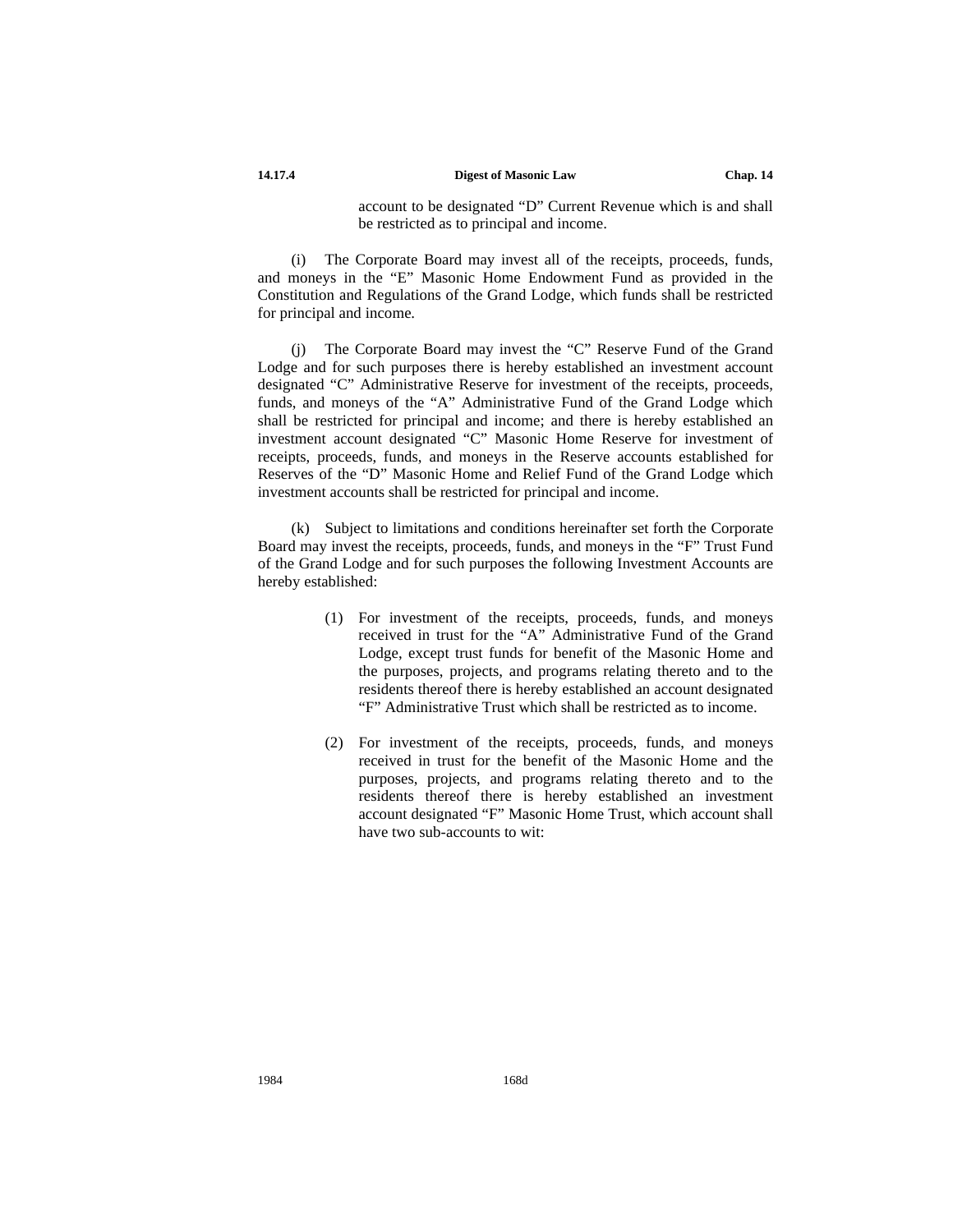account to be designated "D" Current Revenue which is and shall be restricted as to principal and income.

(i) The Corporate Board may invest all of the receipts, proceeds, funds, and moneys in the "E" Masonic Home Endowment Fund as provided in the Constitution and Regulations of the Grand Lodge, which funds shall be restricted for principal and income.

(j) The Corporate Board may invest the "C" Reserve Fund of the Grand Lodge and for such purposes there is hereby established an investment account designated "C" Administrative Reserve for investment of the receipts, proceeds, funds, and moneys of the "A" Administrative Fund of the Grand Lodge which shall be restricted for principal and income; and there is hereby established an investment account designated "C" Masonic Home Reserve for investment of receipts, proceeds, funds, and moneys in the Reserve accounts established for Reserves of the "D" Masonic Home and Relief Fund of the Grand Lodge which investment accounts shall be restricted for principal and income.

(k) Subject to limitations and conditions hereinafter set forth the Corporate Board may invest the receipts, proceeds, funds, and moneys in the "F" Trust Fund of the Grand Lodge and for such purposes the following Investment Accounts are hereby established:

- (1) For investment of the receipts, proceeds, funds, and moneys received in trust for the "A" Administrative Fund of the Grand Lodge, except trust funds for benefit of the Masonic Home and the purposes, projects, and programs relating thereto and to the residents thereof there is hereby established an account designated "F" Administrative Trust which shall be restricted as to income.
- (2) For investment of the receipts, proceeds, funds, and moneys received in trust for the benefit of the Masonic Home and the purposes, projects, and programs relating thereto and to the residents thereof there is hereby established an investment account designated "F" Masonic Home Trust, which account shall have two sub-accounts to wit: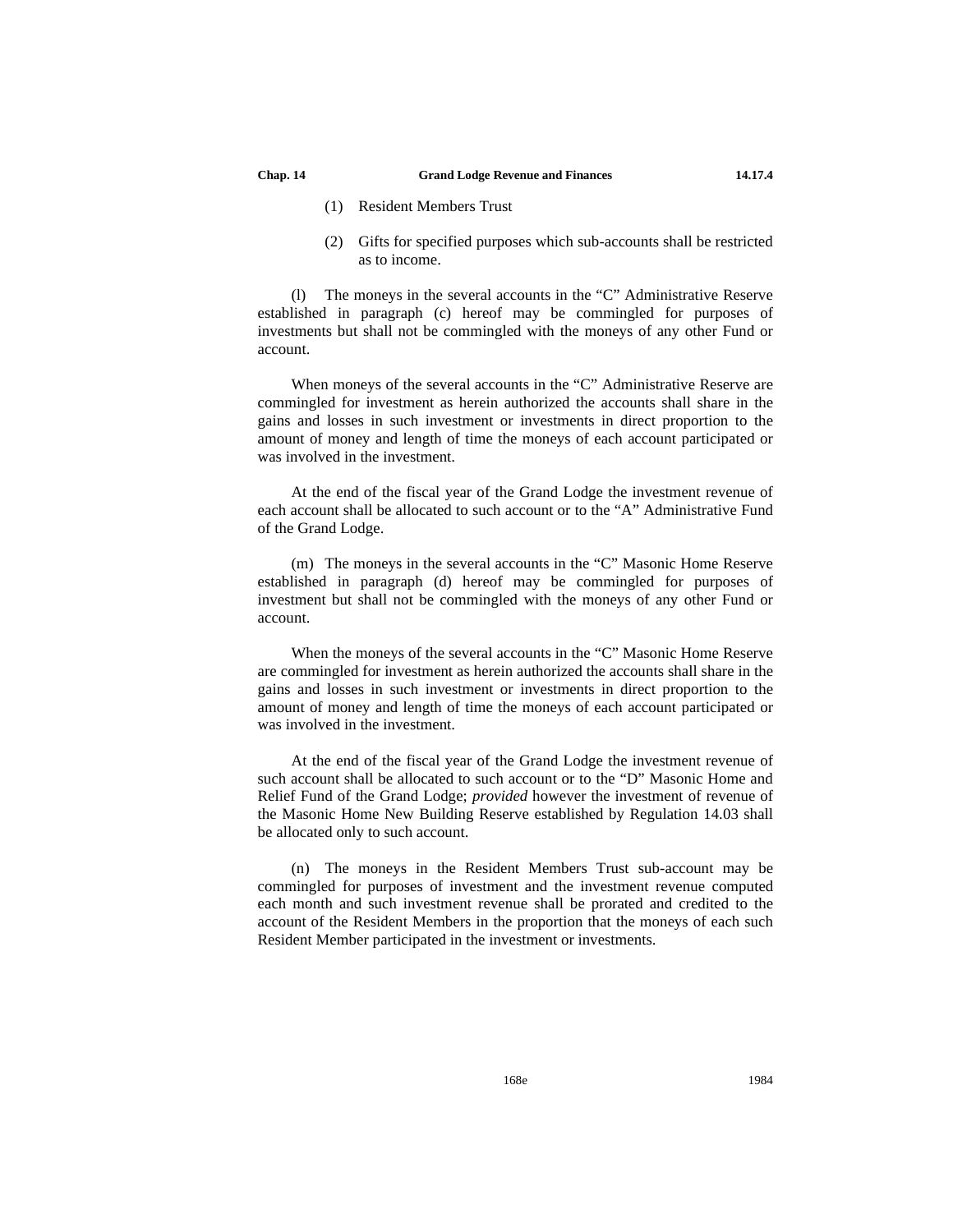- (1) Resident Members Trust
- (2) Gifts for specified purposes which sub-accounts shall be restricted as to income.

(l) The moneys in the several accounts in the "C" Administrative Reserve established in paragraph (c) hereof may be commingled for purposes of investments but shall not be commingled with the moneys of any other Fund or account.

When moneys of the several accounts in the "C" Administrative Reserve are commingled for investment as herein authorized the accounts shall share in the gains and losses in such investment or investments in direct proportion to the amount of money and length of time the moneys of each account participated or was involved in the investment.

At the end of the fiscal year of the Grand Lodge the investment revenue of each account shall be allocated to such account or to the "A" Administrative Fund of the Grand Lodge.

(m) The moneys in the several accounts in the "C" Masonic Home Reserve established in paragraph (d) hereof may be commingled for purposes of investment but shall not be commingled with the moneys of any other Fund or account.

When the moneys of the several accounts in the "C" Masonic Home Reserve are commingled for investment as herein authorized the accounts shall share in the gains and losses in such investment or investments in direct proportion to the amount of money and length of time the moneys of each account participated or was involved in the investment.

At the end of the fiscal year of the Grand Lodge the investment revenue of such account shall be allocated to such account or to the "D" Masonic Home and Relief Fund of the Grand Lodge; *provided* however the investment of revenue of the Masonic Home New Building Reserve established by Regulation 14.03 shall be allocated only to such account.

(n) The moneys in the Resident Members Trust sub-account may be commingled for purposes of investment and the investment revenue computed each month and such investment revenue shall be prorated and credited to the account of the Resident Members in the proportion that the moneys of each such Resident Member participated in the investment or investments.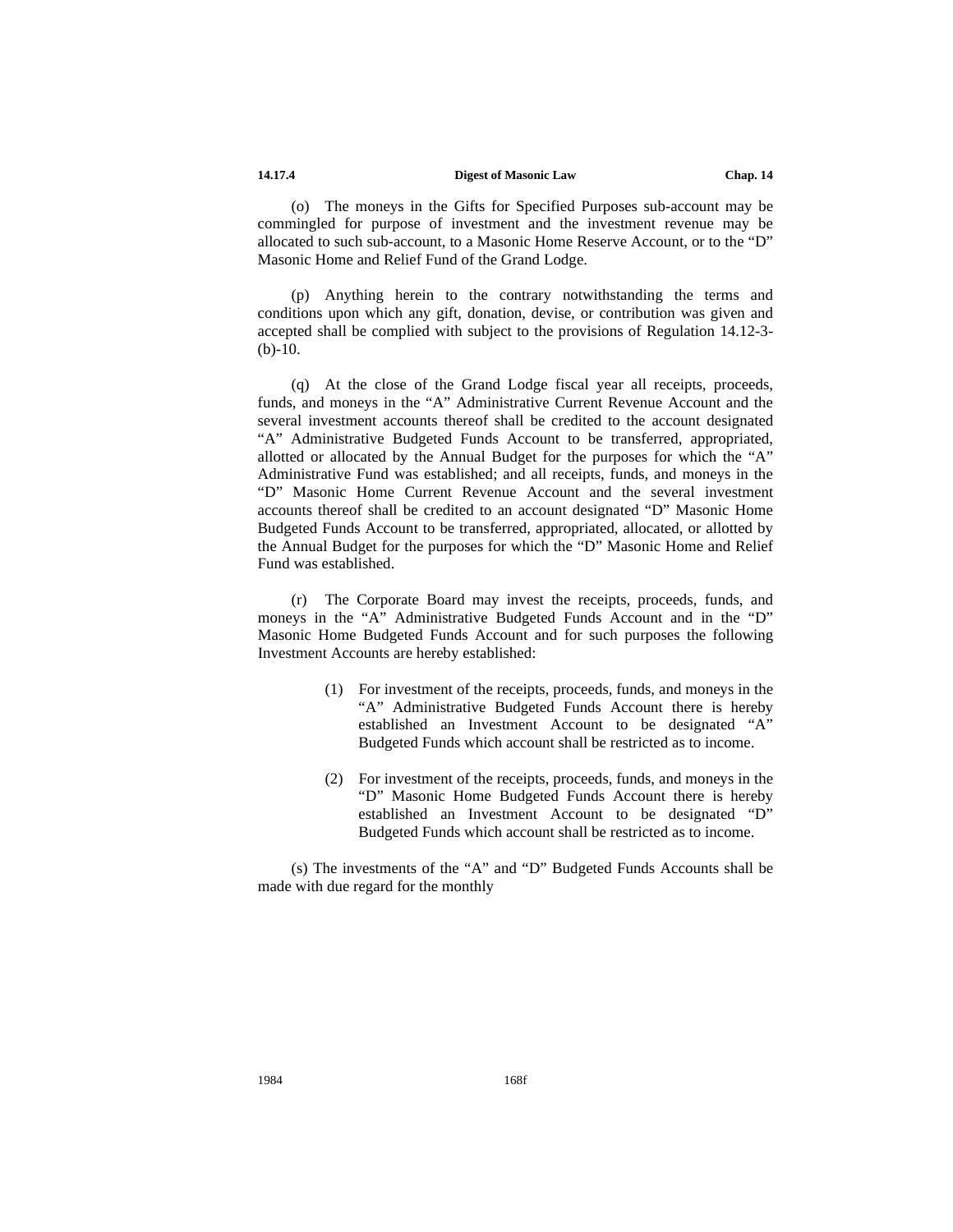## **14.17.4 Digest of Masonic Law Chap. 14**

(o) The moneys in the Gifts for Specified Purposes sub-account may be commingled for purpose of investment and the investment revenue may be allocated to such sub-account, to a Masonic Home Reserve Account, or to the "D" Masonic Home and Relief Fund of the Grand Lodge.

(p) Anything herein to the contrary notwithstanding the terms and conditions upon which any gift, donation, devise, or contribution was given and accepted shall be complied with subject to the provisions of Regulation 14.12-3- (b)-10.

(q) At the close of the Grand Lodge fiscal year all receipts, proceeds, funds, and moneys in the "A" Administrative Current Revenue Account and the several investment accounts thereof shall be credited to the account designated "A" Administrative Budgeted Funds Account to be transferred, appropriated, allotted or allocated by the Annual Budget for the purposes for which the "A" Administrative Fund was established; and all receipts, funds, and moneys in the "D" Masonic Home Current Revenue Account and the several investment accounts thereof shall be credited to an account designated "D" Masonic Home Budgeted Funds Account to be transferred, appropriated, allocated, or allotted by the Annual Budget for the purposes for which the "D" Masonic Home and Relief Fund was established.

(r) The Corporate Board may invest the receipts, proceeds, funds, and moneys in the "A" Administrative Budgeted Funds Account and in the "D" Masonic Home Budgeted Funds Account and for such purposes the following Investment Accounts are hereby established:

- (1) For investment of the receipts, proceeds, funds, and moneys in the "A" Administrative Budgeted Funds Account there is hereby established an Investment Account to be designated "A" Budgeted Funds which account shall be restricted as to income.
- (2) For investment of the receipts, proceeds, funds, and moneys in the "D" Masonic Home Budgeted Funds Account there is hereby established an Investment Account to be designated "D" Budgeted Funds which account shall be restricted as to income.

(s) The investments of the "A" and "D" Budgeted Funds Accounts shall be made with due regard for the monthly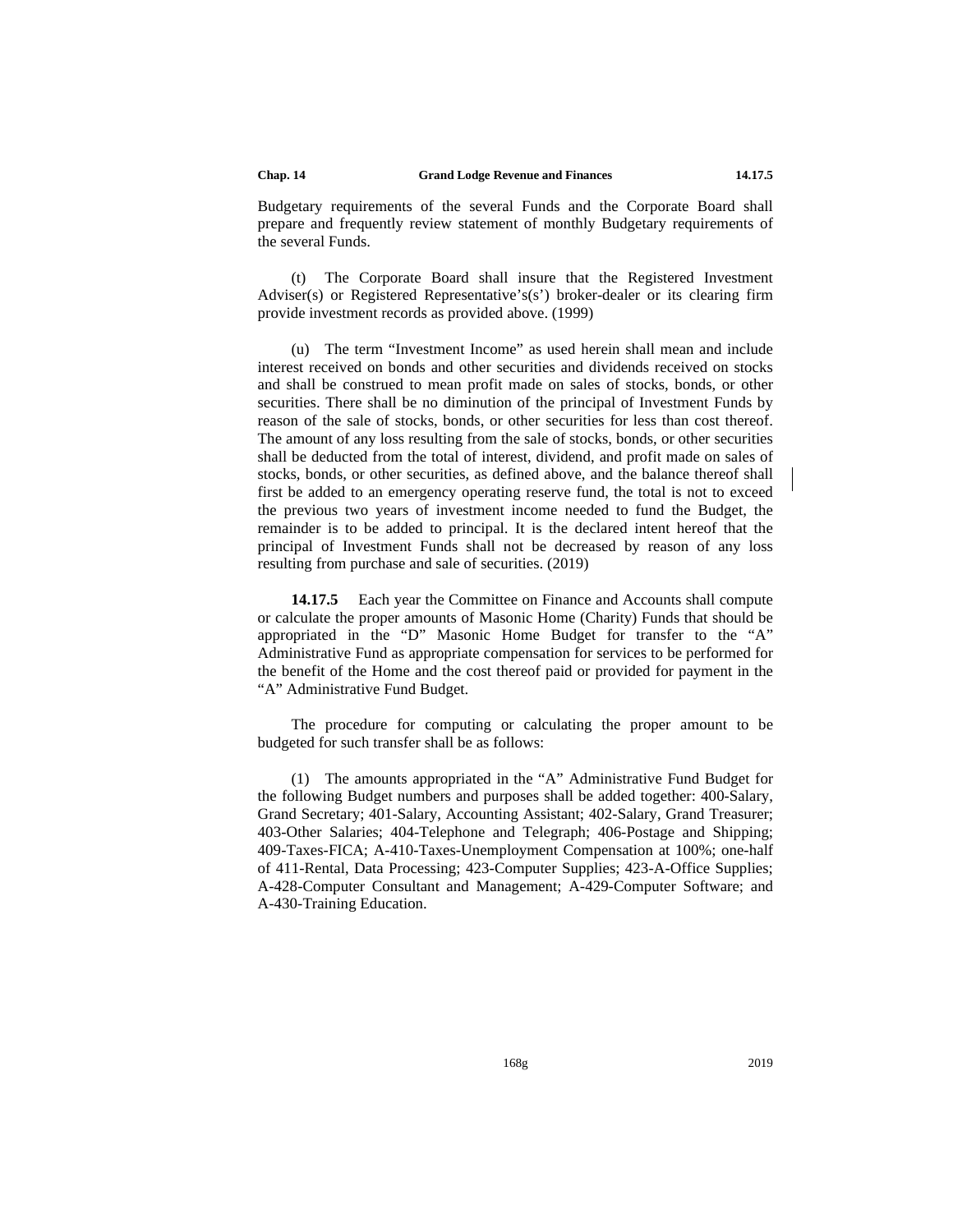Budgetary requirements of the several Funds and the Corporate Board shall prepare and frequently review statement of monthly Budgetary requirements of the several Funds.

(t) The Corporate Board shall insure that the Registered Investment Adviser(s) or Registered Representative's(s') broker-dealer or its clearing firm provide investment records as provided above. (1999)

(u) The term "Investment Income" as used herein shall mean and include interest received on bonds and other securities and dividends received on stocks and shall be construed to mean profit made on sales of stocks, bonds, or other securities. There shall be no diminution of the principal of Investment Funds by reason of the sale of stocks, bonds, or other securities for less than cost thereof. The amount of any loss resulting from the sale of stocks, bonds, or other securities shall be deducted from the total of interest, dividend, and profit made on sales of stocks, bonds, or other securities, as defined above, and the balance thereof shall first be added to an emergency operating reserve fund, the total is not to exceed the previous two years of investment income needed to fund the Budget, the remainder is to be added to principal. It is the declared intent hereof that the principal of Investment Funds shall not be decreased by reason of any loss resulting from purchase and sale of securities. (2019)

**14.17.5** Each year the Committee on Finance and Accounts shall compute or calculate the proper amounts of Masonic Home (Charity) Funds that should be appropriated in the "D" Masonic Home Budget for transfer to the "A" Administrative Fund as appropriate compensation for services to be performed for the benefit of the Home and the cost thereof paid or provided for payment in the "A" Administrative Fund Budget.

The procedure for computing or calculating the proper amount to be budgeted for such transfer shall be as follows:

(1) The amounts appropriated in the "A" Administrative Fund Budget for the following Budget numbers and purposes shall be added together: 400-Salary, Grand Secretary; 401-Salary, Accounting Assistant; 402-Salary, Grand Treasurer; 403-Other Salaries; 404-Telephone and Telegraph; 406-Postage and Shipping; 409-Taxes-FICA; A-410-Taxes-Unemployment Compensation at 100%; one-half of 411-Rental, Data Processing; 423-Computer Supplies; 423-A-Office Supplies; A-428-Computer Consultant and Management; A-429-Computer Software; and A-430-Training Education.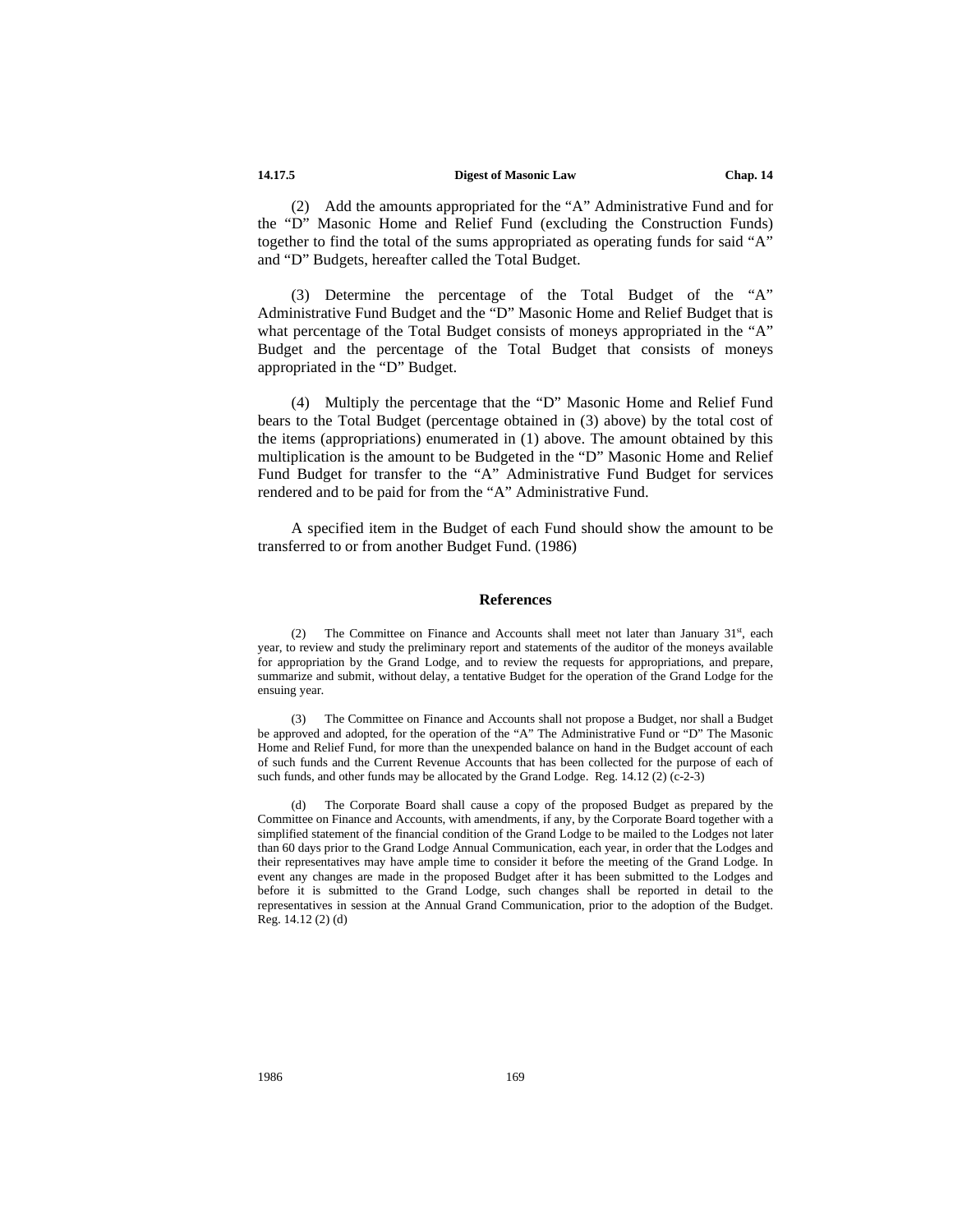(2) Add the amounts appropriated for the "A" Administrative Fund and for the "D" Masonic Home and Relief Fund (excluding the Construction Funds) together to find the total of the sums appropriated as operating funds for said "A" and "D" Budgets, hereafter called the Total Budget.

(3) Determine the percentage of the Total Budget of the "A" Administrative Fund Budget and the "D" Masonic Home and Relief Budget that is what percentage of the Total Budget consists of moneys appropriated in the "A" Budget and the percentage of the Total Budget that consists of moneys appropriated in the "D" Budget.

(4) Multiply the percentage that the "D" Masonic Home and Relief Fund bears to the Total Budget (percentage obtained in (3) above) by the total cost of the items (appropriations) enumerated in (1) above. The amount obtained by this multiplication is the amount to be Budgeted in the "D" Masonic Home and Relief Fund Budget for transfer to the "A" Administrative Fund Budget for services rendered and to be paid for from the "A" Administrative Fund.

A specified item in the Budget of each Fund should show the amount to be transferred to or from another Budget Fund. (1986)

## **References**

(2) The Committee on Finance and Accounts shall meet not later than January  $31<sup>st</sup>$ , each year, to review and study the preliminary report and statements of the auditor of the moneys available for appropriation by the Grand Lodge, and to review the requests for appropriations, and prepare, summarize and submit, without delay, a tentative Budget for the operation of the Grand Lodge for the ensuing year.

(3) The Committee on Finance and Accounts shall not propose a Budget, nor shall a Budget be approved and adopted, for the operation of the "A" The Administrative Fund or "D" The Masonic Home and Relief Fund, for more than the unexpended balance on hand in the Budget account of each of such funds and the Current Revenue Accounts that has been collected for the purpose of each of such funds, and other funds may be allocated by the Grand Lodge. Reg.  $14.12$  (2) (c-2-3)

(d) The Corporate Board shall cause a copy of the proposed Budget as prepared by the Committee on Finance and Accounts, with amendments, if any, by the Corporate Board together with a simplified statement of the financial condition of the Grand Lodge to be mailed to the Lodges not later than 60 days prior to the Grand Lodge Annual Communication, each year, in order that the Lodges and their representatives may have ample time to consider it before the meeting of the Grand Lodge. In event any changes are made in the proposed Budget after it has been submitted to the Lodges and before it is submitted to the Grand Lodge, such changes shall be reported in detail to the representatives in session at the Annual Grand Communication, prior to the adoption of the Budget. Reg. 14.12 (2) (d)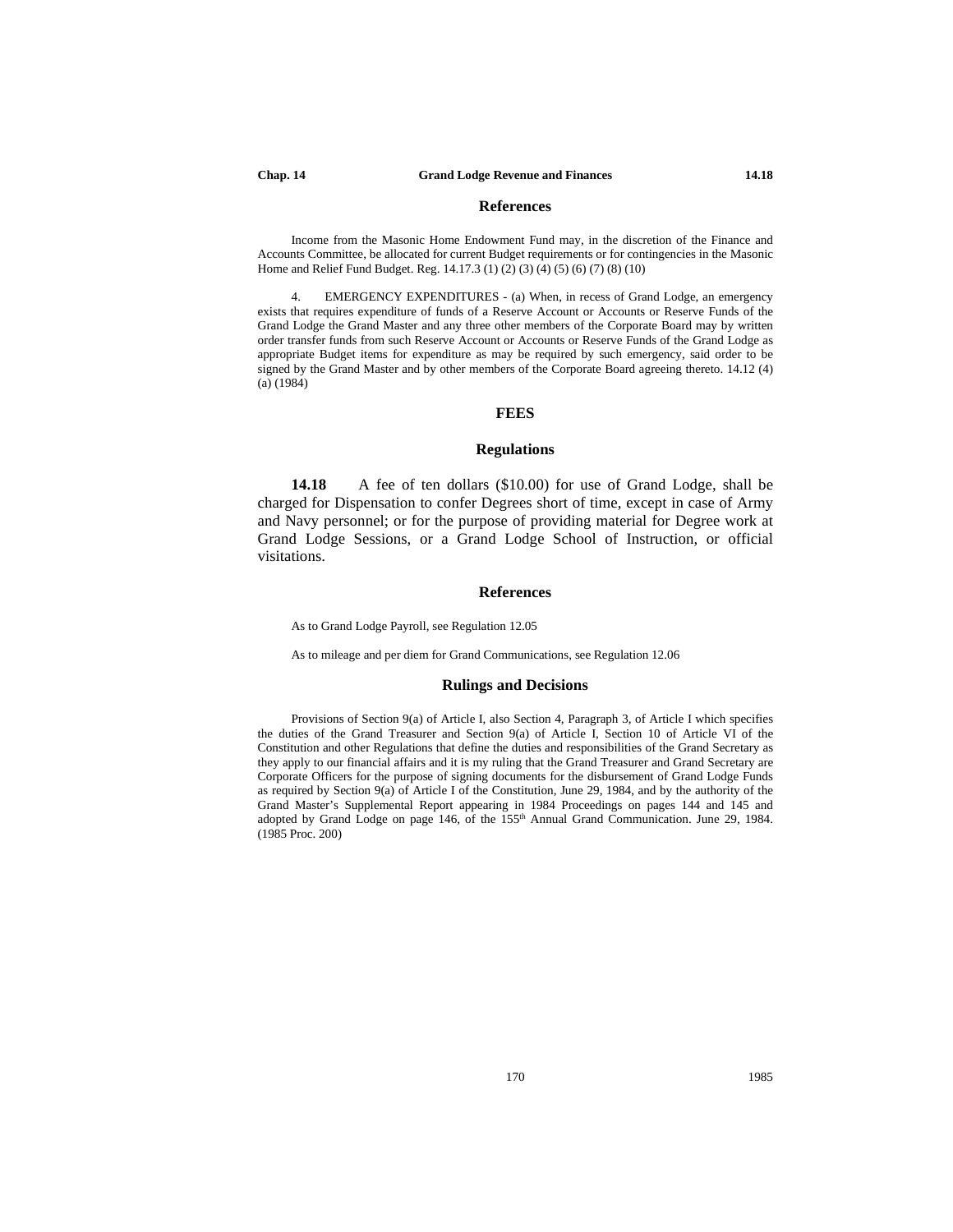## **References**

Income from the Masonic Home Endowment Fund may, in the discretion of the Finance and Accounts Committee, be allocated for current Budget requirements or for contingencies in the Masonic Home and Relief Fund Budget. Reg. 14.17.3 (1) (2) (3) (4) (5) (6) (7) (8) (10)

4. EMERGENCY EXPENDITURES - (a) When, in recess of Grand Lodge, an emergency exists that requires expenditure of funds of a Reserve Account or Accounts or Reserve Funds of the Grand Lodge the Grand Master and any three other members of the Corporate Board may by written order transfer funds from such Reserve Account or Accounts or Reserve Funds of the Grand Lodge as appropriate Budget items for expenditure as may be required by such emergency, said order to be signed by the Grand Master and by other members of the Corporate Board agreeing thereto. 14.12 (4) (a) (1984)

## **FEES**

## **Regulations**

**14.18** A fee of ten dollars (\$10.00) for use of Grand Lodge, shall be charged for Dispensation to confer Degrees short of time, except in case of Army and Navy personnel; or for the purpose of providing material for Degree work at Grand Lodge Sessions, or a Grand Lodge School of Instruction, or official visitations.

## **References**

As to Grand Lodge Payroll, see Regulation 12.05

As to mileage and per diem for Grand Communications, see Regulation 12.06

## **Rulings and Decisions**

Provisions of Section 9(a) of Article I, also Section 4, Paragraph 3, of Article I which specifies the duties of the Grand Treasurer and Section 9(a) of Article I, Section 10 of Article VI of the Constitution and other Regulations that define the duties and responsibilities of the Grand Secretary as they apply to our financial affairs and it is my ruling that the Grand Treasurer and Grand Secretary are Corporate Officers for the purpose of signing documents for the disbursement of Grand Lodge Funds as required by Section 9(a) of Article I of the Constitution, June 29, 1984, and by the authority of the Grand Master's Supplemental Report appearing in 1984 Proceedings on pages 144 and 145 and adopted by Grand Lodge on page 146, of the 155<sup>th</sup> Annual Grand Communication. June 29, 1984. (1985 Proc. 200)